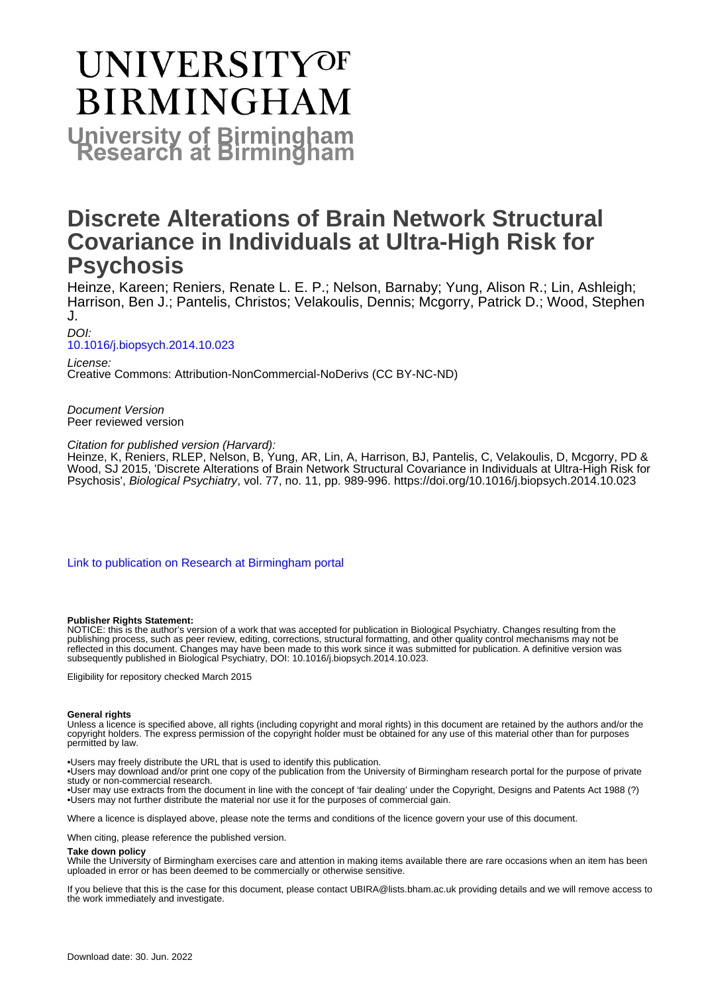# UNIVERSITYOF **BIRMINGHAM University of Birmingham**

# **Discrete Alterations of Brain Network Structural Covariance in Individuals at Ultra-High Risk for Psychosis**

Heinze, Kareen; Reniers, Renate L. E. P.; Nelson, Barnaby; Yung, Alison R.; Lin, Ashleigh; Harrison, Ben J.; Pantelis, Christos; Velakoulis, Dennis; Mcgorry, Patrick D.; Wood, Stephen J.

DOI:

#### [10.1016/j.biopsych.2014.10.023](https://doi.org/10.1016/j.biopsych.2014.10.023)

License: Creative Commons: Attribution-NonCommercial-NoDerivs (CC BY-NC-ND)

Document Version Peer reviewed version

Citation for published version (Harvard):

Heinze, K, Reniers, RLEP, Nelson, B, Yung, AR, Lin, A, Harrison, BJ, Pantelis, C, Velakoulis, D, Mcgorry, PD & Wood, SJ 2015, 'Discrete Alterations of Brain Network Structural Covariance in Individuals at Ultra-High Risk for Psychosis', Biological Psychiatry, vol. 77, no. 11, pp. 989-996.<https://doi.org/10.1016/j.biopsych.2014.10.023>

[Link to publication on Research at Birmingham portal](https://birmingham.elsevierpure.com/en/publications/54ca5b74-ffad-4170-9287-8f1ebcb7c143)

#### **Publisher Rights Statement:**

NOTICE: this is the author's version of a work that was accepted for publication in Biological Psychiatry. Changes resulting from the publishing process, such as peer review, editing, corrections, structural formatting, and other quality control mechanisms may not be reflected in this document. Changes may have been made to this work since it was submitted for publication. A definitive version was subsequently published in Biological Psychiatry, DOI: 10.1016/j.biopsych.2014.10.023.

Eligibility for repository checked March 2015

#### **General rights**

Unless a licence is specified above, all rights (including copyright and moral rights) in this document are retained by the authors and/or the copyright holders. The express permission of the copyright holder must be obtained for any use of this material other than for purposes permitted by law.

• Users may freely distribute the URL that is used to identify this publication.

• Users may download and/or print one copy of the publication from the University of Birmingham research portal for the purpose of private study or non-commercial research.

• User may use extracts from the document in line with the concept of 'fair dealing' under the Copyright, Designs and Patents Act 1988 (?) • Users may not further distribute the material nor use it for the purposes of commercial gain.

Where a licence is displayed above, please note the terms and conditions of the licence govern your use of this document.

When citing, please reference the published version.

#### **Take down policy**

While the University of Birmingham exercises care and attention in making items available there are rare occasions when an item has been uploaded in error or has been deemed to be commercially or otherwise sensitive.

If you believe that this is the case for this document, please contact UBIRA@lists.bham.ac.uk providing details and we will remove access to the work immediately and investigate.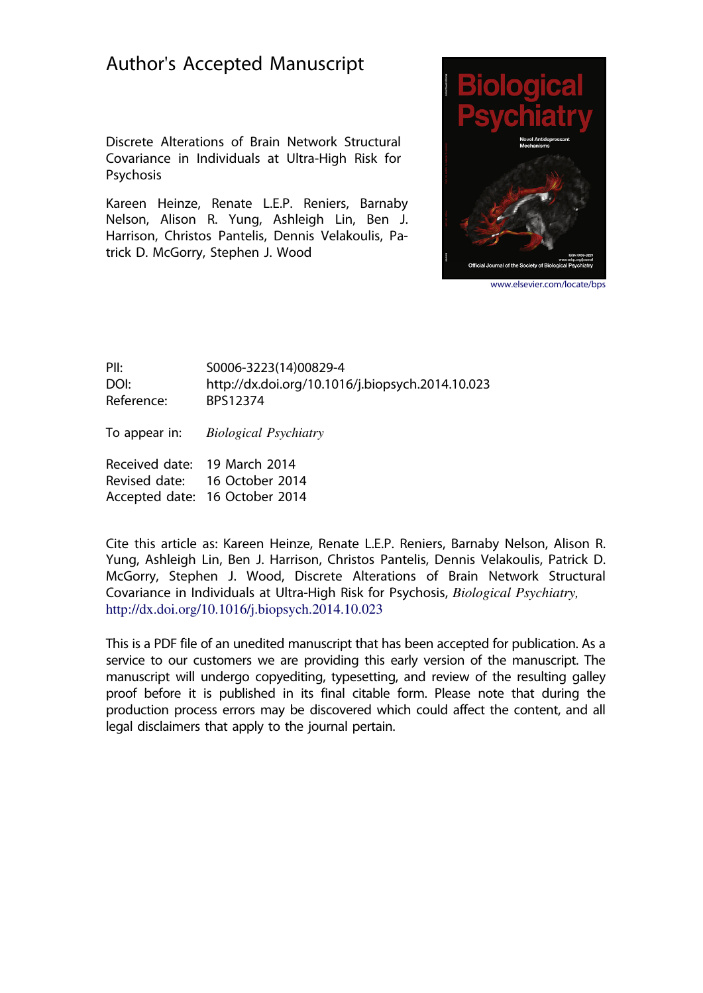# Author's Accepted Manuscript

Discrete Alterations of Brain Network Structural Covariance in Individuals at Ultra-High Risk for **Psychosis** 

Kareen Heinze, Renate L.E.P. Reniers, Barnaby Nelson, Alison R. Yung, Ashleigh Lin, Ben J. Harrison, Christos Pantelis, Dennis Velakoulis, Patrick D. McGorry, Stephen J. Wood



www.elsevier.com/locate/bps

PII: S0006-3223(14)00829-4 DOI: http://dx.doi.org/10.1016/j.biopsych.2014.10.023 Reference: BPS12374

To appear in: Biological Psychiatry

Received date: 19 March 2014 Revised date: 16 October 2014 Accepted date: 16 October 2014

Cite this article as: Kareen Heinze, Renate L.E.P. Reniers, Barnaby Nelson, Alison R. Yung, Ashleigh Lin, Ben J. Harrison, Christos Pantelis, Dennis Velakoulis, Patrick D. McGorry, Stephen J. Wood, Discrete Alterations of Brain Network Structural Covariance in Individuals at Ultra-High Risk for Psychosis, Biological Psychiatry, http://dx.doi.org/10.1016/j.biopsych.2014.10.023

This is a PDF file of an unedited manuscript that has been accepted for publication. As a service to our customers we are providing this early version of the manuscript. The manuscript will undergo copyediting, typesetting, and review of the resulting galley proof before it is published in its final citable form. Please note that during the production process errors may be discovered which could affect the content, and all legal disclaimers that apply to the journal pertain.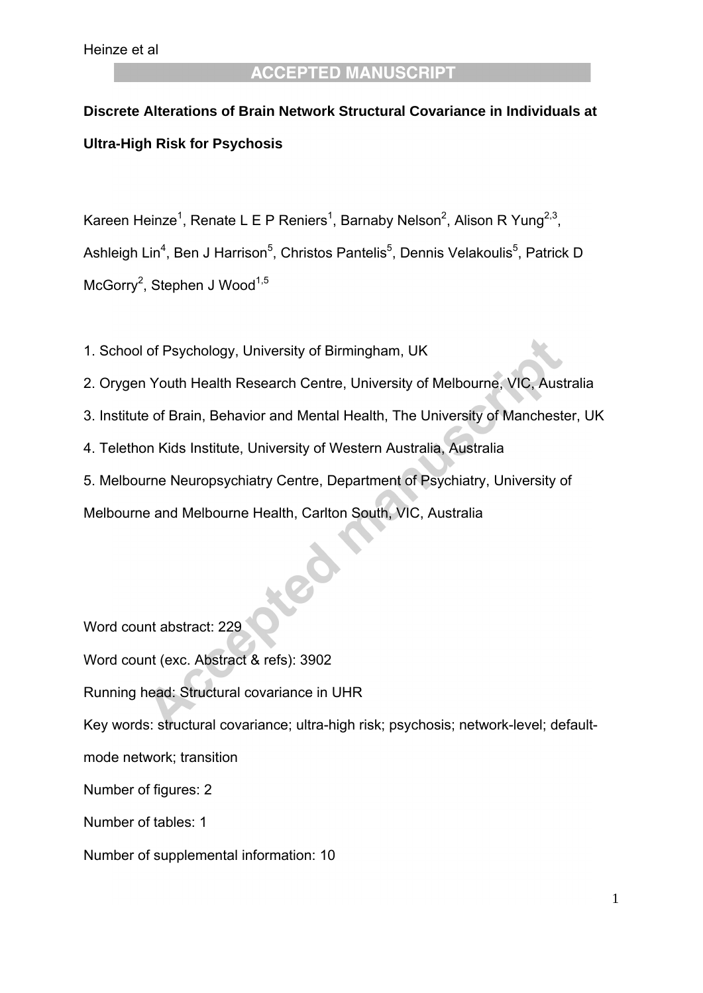# **Discrete Alterations of Brain Network Structural Covariance in Individuals at Ultra-High Risk for Psychosis**

Kareen Heinze<sup>1</sup>, Renate L E P Reniers<sup>1</sup>, Barnaby Nelson<sup>2</sup>, Alison R Yung<sup>2,3</sup>, Ashleigh Lin<sup>4</sup>, Ben J Harrison<sup>5</sup>, Christos Pantelis<sup>5</sup>, Dennis Velakoulis<sup>5</sup>, Patrick D McGorry<sup>2</sup>, Stephen J Wood<sup>1,5</sup>

- 1. School of Psychology, University of Birmingham, UK
- 2. Orygen Youth Health Research Centre, University of Melbourne, VIC, Australia
- 3. Institute of Brain, Behavior and Mental Health, The University of Manchester, UK
- 4. Telethon Kids Institute, University of Western Australia, Australia

5. Melbourne Neuropsychiatry Centre, Department of Psychiatry, University of

Melbourne and Melbourne Health, Carlton South, VIC, Australia

Word count abstract: 229 Word count (exc. Abstract & refs): 3902 Running head: Structural covariance in UHR Key words: structural covariance; ultra-high risk; psychosis; network-level; defaultmode network; transition Number of figures: 2 Number of tables: 1 Number of supplemental information: 10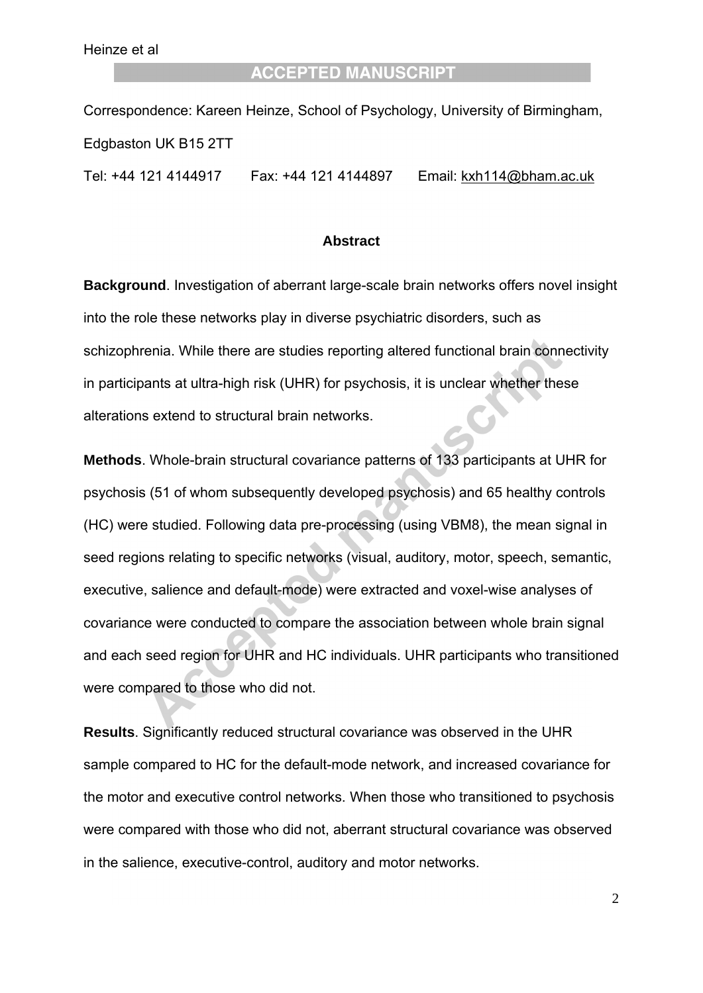Correspondence: Kareen Heinze, School of Psychology, University of Birmingham, Edgbaston UK B15 2TT

Tel: +44 121 4144917 Fax: +44 121 4144897 Email: kxh114@bham.ac.uk

#### **Abstract**

**Background**. Investigation of aberrant large-scale brain networks offers novel insight into the role these networks play in diverse psychiatric disorders, such as schizophrenia. While there are studies reporting altered functional brain connectivity in participants at ultra-high risk (UHR) for psychosis, it is unclear whether these alterations extend to structural brain networks.

**Methods**. Whole-brain structural covariance patterns of 133 participants at UHR for psychosis (51 of whom subsequently developed psychosis) and 65 healthy controls (HC) were studied. Following data pre-processing (using VBM8), the mean signal in seed regions relating to specific networks (visual, auditory, motor, speech, semantic, executive, salience and default-mode) were extracted and voxel-wise analyses of covariance were conducted to compare the association between whole brain signal and each seed region for UHR and HC individuals. UHR participants who transitioned were compared to those who did not.

**Results**. Significantly reduced structural covariance was observed in the UHR sample compared to HC for the default-mode network, and increased covariance for the motor and executive control networks. When those who transitioned to psychosis were compared with those who did not, aberrant structural covariance was observed in the salience, executive-control, auditory and motor networks.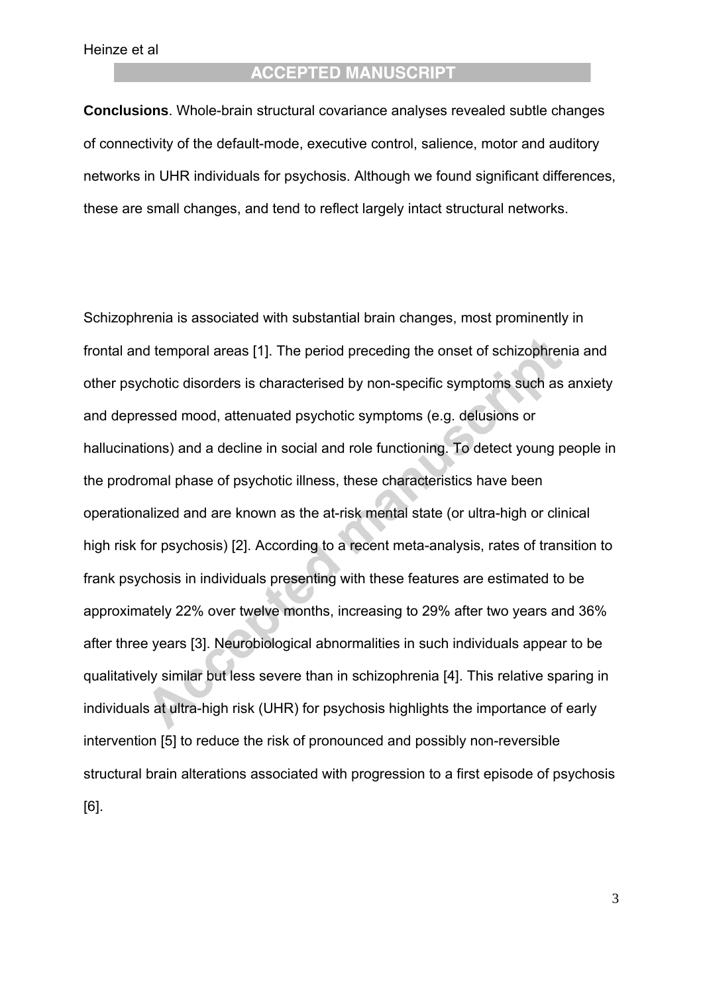# **ACCEPTED MANUSCRIPT**

**Conclusions**. Whole-brain structural covariance analyses revealed subtle changes of connectivity of the default-mode, executive control, salience, motor and auditory networks in UHR individuals for psychosis. Although we found significant differences, these are small changes, and tend to reflect largely intact structural networks.

Schizophrenia is associated with substantial brain changes, most prominently in frontal and temporal areas [1]. The period preceding the onset of schizophrenia and other psychotic disorders is characterised by non-specific symptoms such as anxiety and depressed mood, attenuated psychotic symptoms (e.g. delusions or hallucinations) and a decline in social and role functioning. To detect young people in the prodromal phase of psychotic illness, these characteristics have been operationalized and are known as the at-risk mental state (or ultra-high or clinical high risk for psychosis) [2]. According to a recent meta-analysis, rates of transition to frank psychosis in individuals presenting with these features are estimated to be approximately 22% over twelve months, increasing to 29% after two years and 36% after three years [3]. Neurobiological abnormalities in such individuals appear to be qualitatively similar but less severe than in schizophrenia [4]. This relative sparing in individuals at ultra-high risk (UHR) for psychosis highlights the importance of early intervention [5] to reduce the risk of pronounced and possibly non-reversible structural brain alterations associated with progression to a first episode of psychosis [6].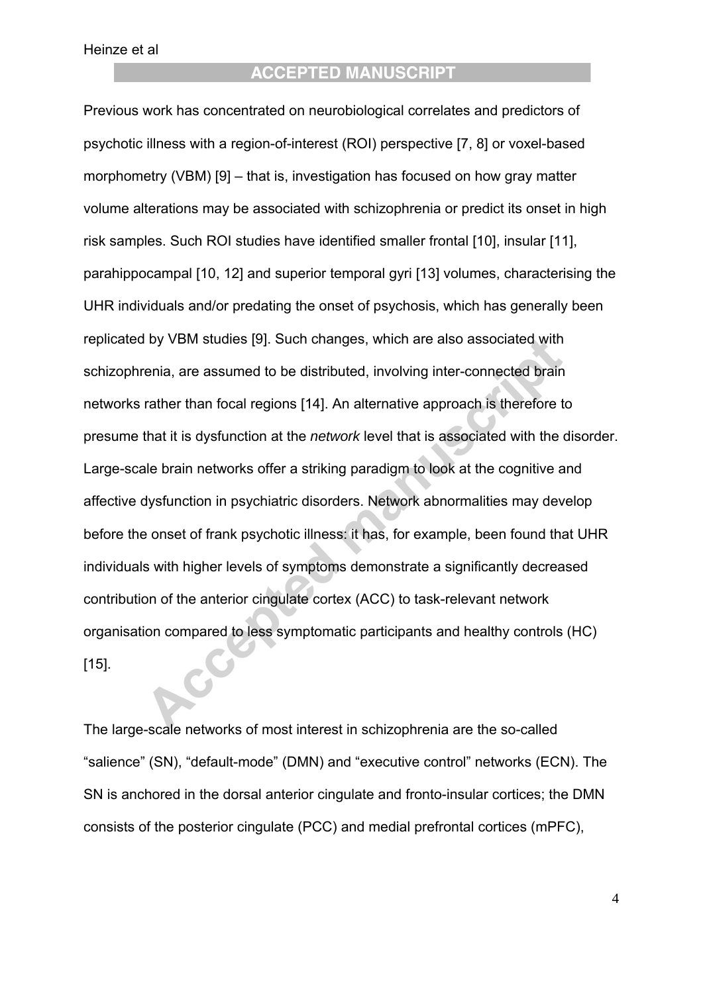# **ACCEPTED MANUSCRIPT**

Previous work has concentrated on neurobiological correlates and predictors of psychotic illness with a region-of-interest (ROI) perspective [7, 8] or voxel-based morphometry (VBM) [9] – that is, investigation has focused on how gray matter volume alterations may be associated with schizophrenia or predict its onset in high risk samples. Such ROI studies have identified smaller frontal [10], insular [11], parahippocampal [10, 12] and superior temporal gyri [13] volumes, characterising the UHR individuals and/or predating the onset of psychosis, which has generally been replicated by VBM studies [9]. Such changes, which are also associated with schizophrenia, are assumed to be distributed, involving inter-connected brain networks rather than focal regions [14]. An alternative approach is therefore to presume that it is dysfunction at the *network* level that is associated with the disorder. Large-scale brain networks offer a striking paradigm to look at the cognitive and affective dysfunction in psychiatric disorders. Network abnormalities may develop before the onset of frank psychotic illness: it has, for example, been found that UHR individuals with higher levels of symptoms demonstrate a significantly decreased contribution of the anterior cingulate cortex (ACC) to task-relevant network organisation compared to less symptomatic participants and healthy controls (HC) [15].

The large-scale networks of most interest in schizophrenia are the so-called "salience" (SN), "default-mode" (DMN) and "executive control" networks (ECN). The SN is anchored in the dorsal anterior cingulate and fronto-insular cortices; the DMN consists of the posterior cingulate (PCC) and medial prefrontal cortices (mPFC),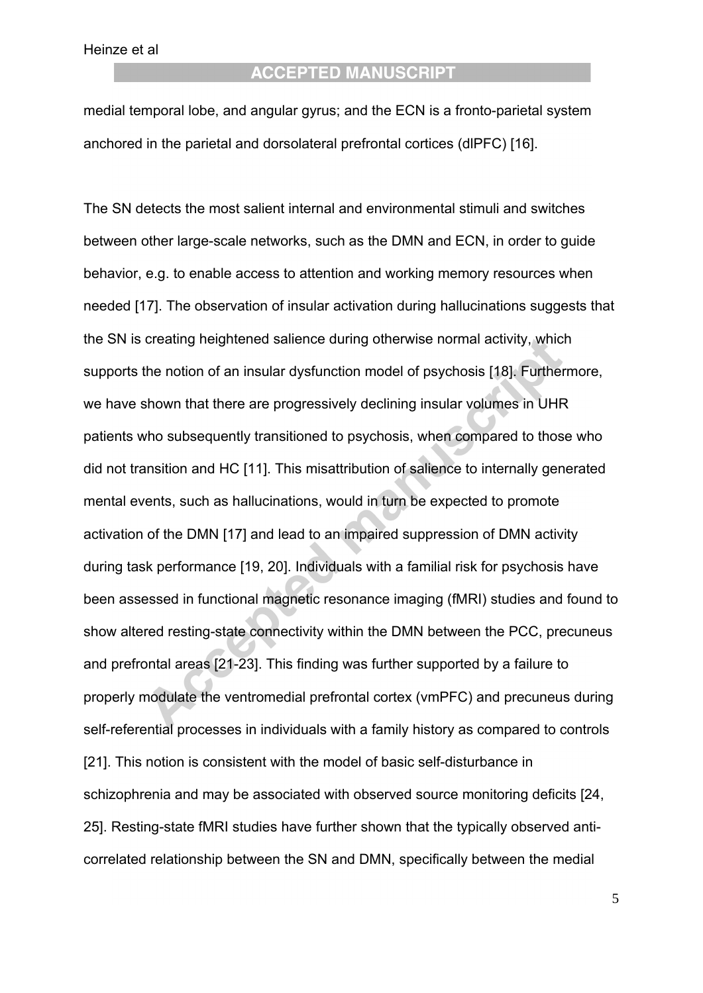# **ACCEPTED MANUSCRIPT**

medial temporal lobe, and angular gyrus; and the ECN is a fronto-parietal system anchored in the parietal and dorsolateral prefrontal cortices (dlPFC) [16].

The SN detects the most salient internal and environmental stimuli and switches between other large-scale networks, such as the DMN and ECN, in order to guide behavior, e.g. to enable access to attention and working memory resources when needed [17]. The observation of insular activation during hallucinations suggests that the SN is creating heightened salience during otherwise normal activity, which supports the notion of an insular dysfunction model of psychosis [18]. Furthermore, we have shown that there are progressively declining insular volumes in UHR patients who subsequently transitioned to psychosis, when compared to those who did not transition and HC [11]. This misattribution of salience to internally generated mental events, such as hallucinations, would in turn be expected to promote activation of the DMN [17] and lead to an impaired suppression of DMN activity during task performance [19, 20]. Individuals with a familial risk for psychosis have been assessed in functional magnetic resonance imaging (fMRI) studies and found to show altered resting-state connectivity within the DMN between the PCC, precuneus and prefrontal areas [21-23]. This finding was further supported by a failure to properly modulate the ventromedial prefrontal cortex (vmPFC) and precuneus during self-referential processes in individuals with a family history as compared to controls [21]. This notion is consistent with the model of basic self-disturbance in schizophrenia and may be associated with observed source monitoring deficits [24, 25]. Resting-state fMRI studies have further shown that the typically observed anticorrelated relationship between the SN and DMN, specifically between the medial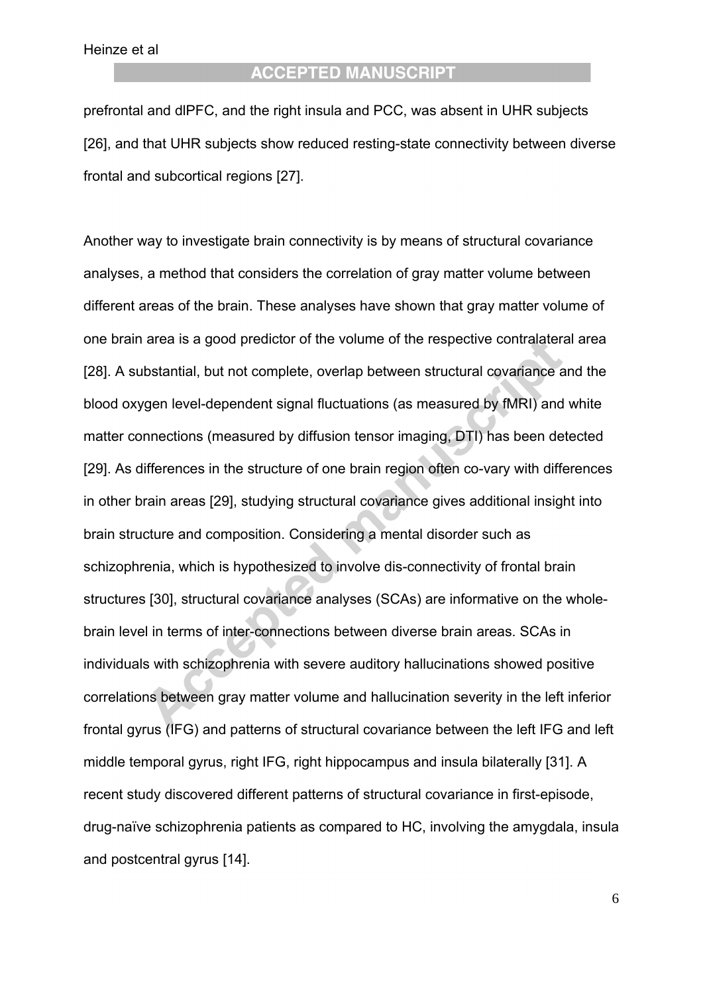# **ACCEPTED MANUSCRIPT**

prefrontal and dlPFC, and the right insula and PCC, was absent in UHR subjects [26], and that UHR subjects show reduced resting-state connectivity between diverse frontal and subcortical regions [27].

Another way to investigate brain connectivity is by means of structural covariance analyses, a method that considers the correlation of gray matter volume between different areas of the brain. These analyses have shown that gray matter volume of one brain area is a good predictor of the volume of the respective contralateral area [28]. A substantial, but not complete, overlap between structural covariance and the blood oxygen level-dependent signal fluctuations (as measured by fMRI) and white matter connections (measured by diffusion tensor imaging, DTI) has been detected [29]. As differences in the structure of one brain region often co-vary with differences in other brain areas [29], studying structural covariance gives additional insight into brain structure and composition. Considering a mental disorder such as schizophrenia, which is hypothesized to involve dis-connectivity of frontal brain structures [30], structural covariance analyses (SCAs) are informative on the wholebrain level in terms of inter-connections between diverse brain areas. SCAs in individuals with schizophrenia with severe auditory hallucinations showed positive correlations between gray matter volume and hallucination severity in the left inferior frontal gyrus (IFG) and patterns of structural covariance between the left IFG and left middle temporal gyrus, right IFG, right hippocampus and insula bilaterally [31]. A recent study discovered different patterns of structural covariance in first-episode, drug-naïve schizophrenia patients as compared to HC, involving the amygdala, insula and postcentral gyrus [14].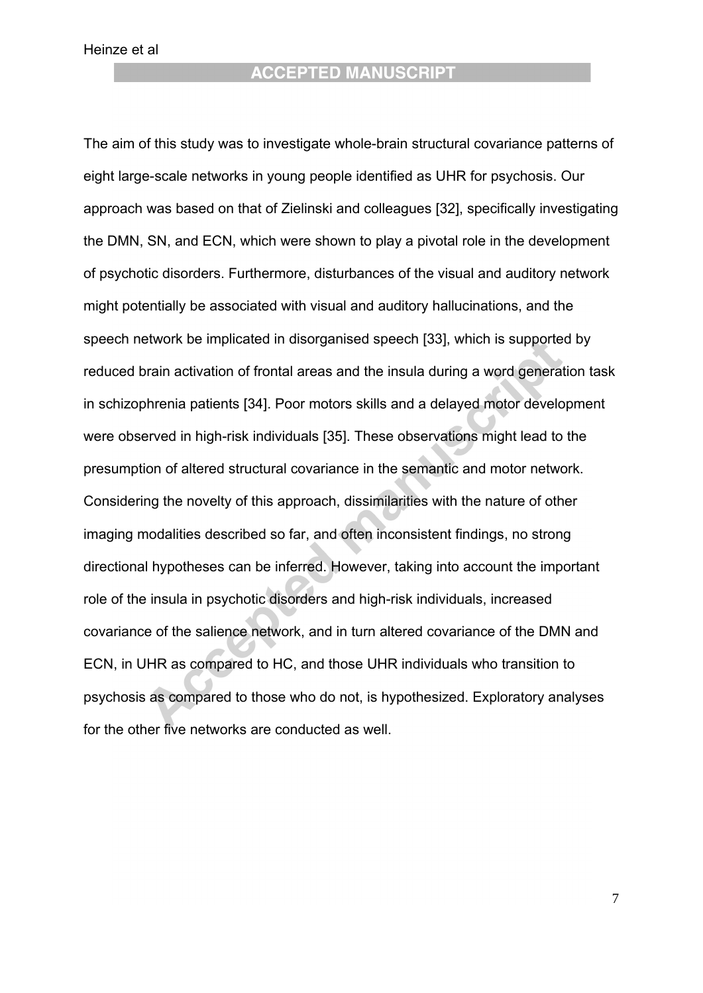**ACCEPTED MANUSCRIPT** 

The aim of this study was to investigate whole-brain structural covariance patterns of eight large-scale networks in young people identified as UHR for psychosis. Our approach was based on that of Zielinski and colleagues [32], specifically investigating the DMN, SN, and ECN, which were shown to play a pivotal role in the development of psychotic disorders. Furthermore, disturbances of the visual and auditory network might potentially be associated with visual and auditory hallucinations, and the speech network be implicated in disorganised speech [33], which is supported by reduced brain activation of frontal areas and the insula during a word generation task in schizophrenia patients [34]. Poor motors skills and a delayed motor development were observed in high-risk individuals [35]. These observations might lead to the presumption of altered structural covariance in the semantic and motor network. Considering the novelty of this approach, dissimilarities with the nature of other imaging modalities described so far, and often inconsistent findings, no strong directional hypotheses can be inferred. However, taking into account the important role of the insula in psychotic disorders and high-risk individuals, increased covariance of the salience network, and in turn altered covariance of the DMN and ECN, in UHR as compared to HC, and those UHR individuals who transition to psychosis as compared to those who do not, is hypothesized. Exploratory analyses for the other five networks are conducted as well.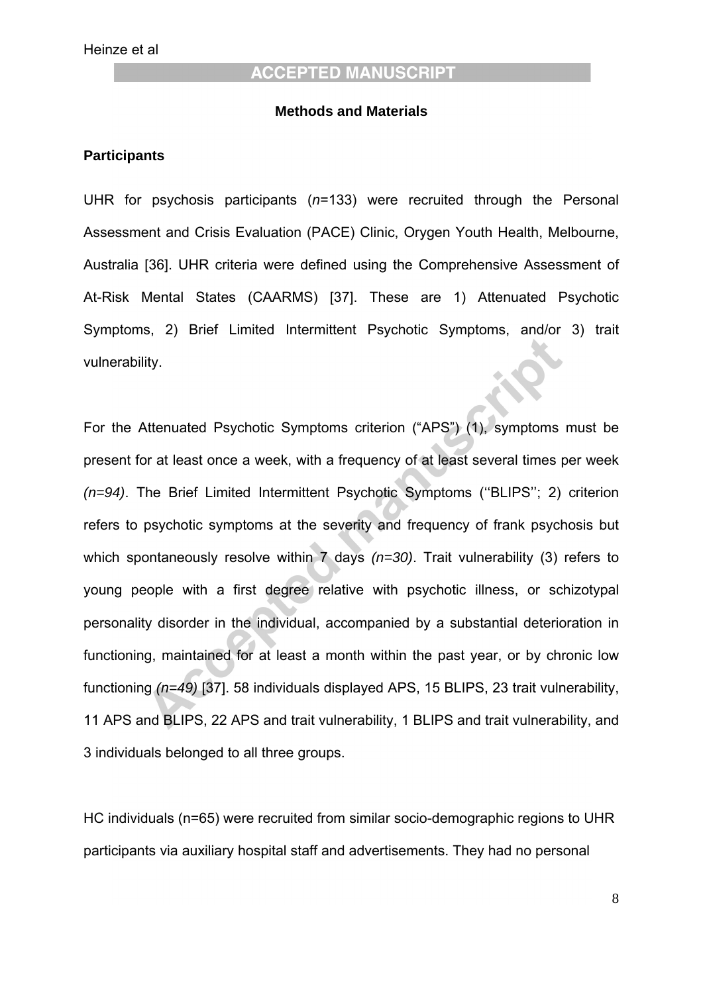#### **Methods and Materials**

#### **Participants**

UHR for psychosis participants (*n*=133) were recruited through the Personal Assessment and Crisis Evaluation (PACE) Clinic, Orygen Youth Health, Melbourne, Australia [36]. UHR criteria were defined using the Comprehensive Assessment of At-Risk Mental States (CAARMS) [37]. These are 1) Attenuated Psychotic Symptoms, 2) Brief Limited Intermittent Psychotic Symptoms, and/or 3) trait vulnerability.

For the Attenuated Psychotic Symptoms criterion ("APS") (1), symptoms must be present for at least once a week, with a frequency of at least several times per week *(n=94)*. The Brief Limited Intermittent Psychotic Symptoms (''BLIPS''; 2) criterion refers to psychotic symptoms at the severity and frequency of frank psychosis but which spontaneously resolve within 7 days *(n=30)*. Trait vulnerability (3) refers to young people with a first degree relative with psychotic illness, or schizotypal personality disorder in the individual, accompanied by a substantial deterioration in functioning, maintained for at least a month within the past year, or by chronic low functioning *(n=49)* [37]. 58 individuals displayed APS, 15 BLIPS, 23 trait vulnerability, 11 APS and BLIPS, 22 APS and trait vulnerability, 1 BLIPS and trait vulnerability, and 3 individuals belonged to all three groups.

HC individuals (n=65) were recruited from similar socio-demographic regions to UHR participants via auxiliary hospital staff and advertisements. They had no personal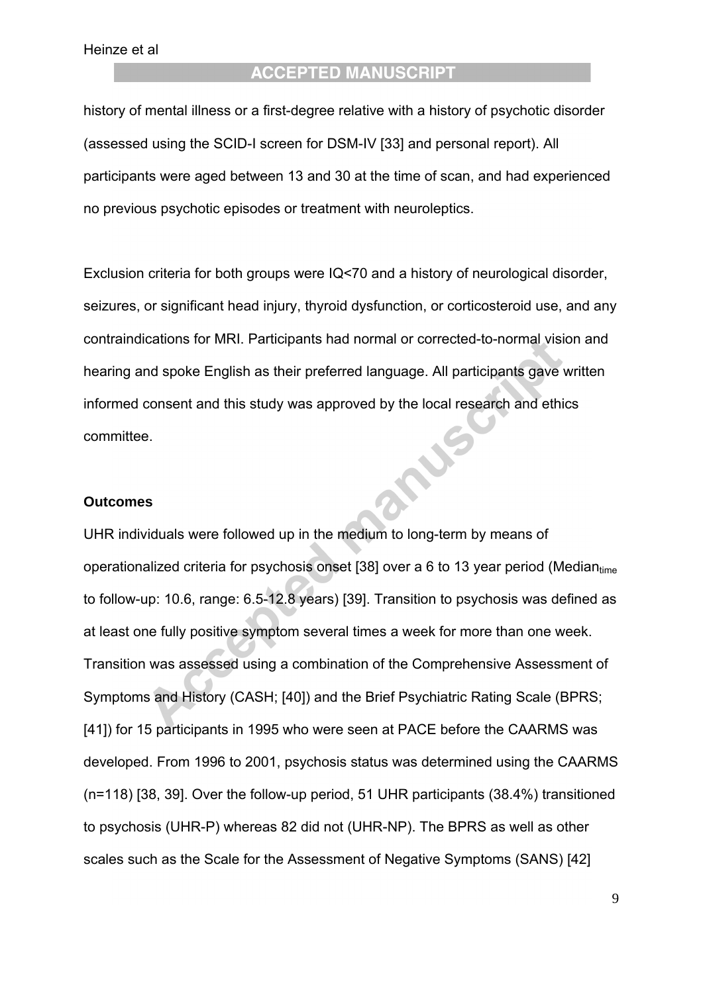history of mental illness or a first-degree relative with a history of psychotic disorder (assessed using the SCID-I screen for DSM-IV [33] and personal report). All participants were aged between 13 and 30 at the time of scan, and had experienced no previous psychotic episodes or treatment with neuroleptics.

Exclusion criteria for both groups were IQ<70 and a history of neurological disorder, seizures, or significant head injury, thyroid dysfunction, or corticosteroid use, and any contraindications for MRI. Participants had normal or corrected-to-normal vision and hearing and spoke English as their preferred language. All participants gave written informed consent and this study was approved by the local research and ethics mas committee.

#### **Outcomes**

UHR individuals were followed up in the medium to long-term by means of operationalized criteria for psychosis onset [38] over a 6 to 13 year period (Median<sub>time</sub>) to follow-up: 10.6, range: 6.5-12.8 years) [39]. Transition to psychosis was defined as at least one fully positive symptom several times a week for more than one week. Transition was assessed using a combination of the Comprehensive Assessment of Symptoms and History (CASH; [40]) and the Brief Psychiatric Rating Scale (BPRS; [41]) for 15 participants in 1995 who were seen at PACE before the CAARMS was developed. From 1996 to 2001, psychosis status was determined using the CAARMS (n=118) [38, 39]. Over the follow-up period, 51 UHR participants (38.4%) transitioned to psychosis (UHR-P) whereas 82 did not (UHR-NP). The BPRS as well as other scales such as the Scale for the Assessment of Negative Symptoms (SANS) [42]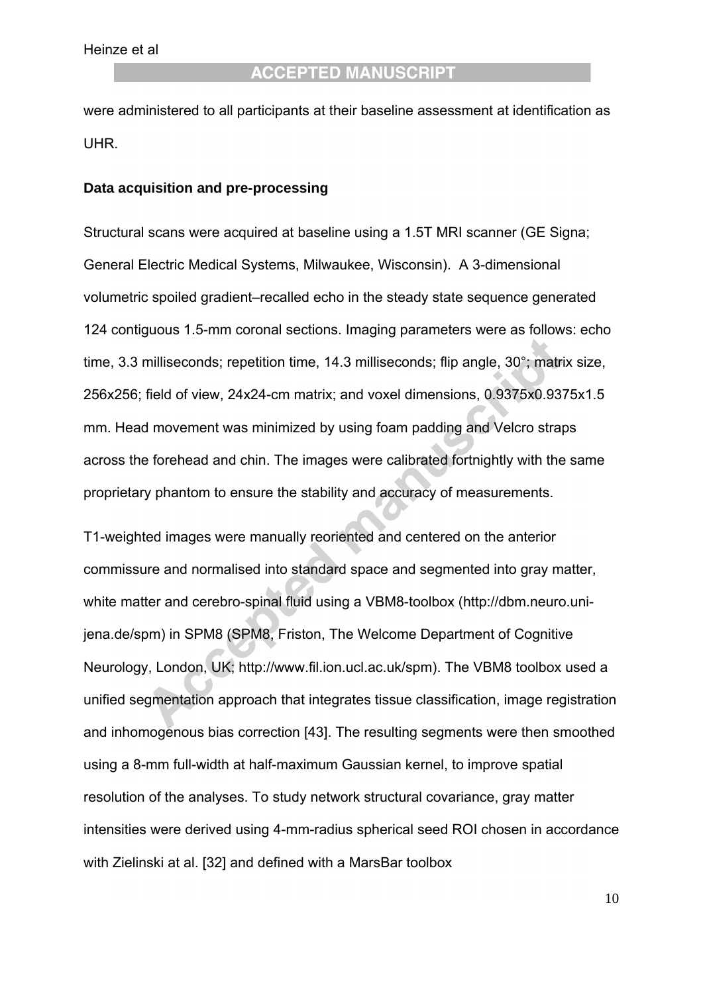were administered to all participants at their baseline assessment at identification as UHR.

#### **Data acquisition and pre-processing**

Structural scans were acquired at baseline using a 1.5T MRI scanner (GE Signa; General Electric Medical Systems, Milwaukee, Wisconsin). A 3-dimensional volumetric spoiled gradient–recalled echo in the steady state sequence generated 124 contiguous 1.5-mm coronal sections. Imaging parameters were as follows: echo time, 3.3 milliseconds; repetition time, 14.3 milliseconds; flip angle, 30°; matrix size, 256x256; field of view, 24x24-cm matrix; and voxel dimensions, 0.9375x0.9375x1.5 mm. Head movement was minimized by using foam padding and Velcro straps across the forehead and chin. The images were calibrated fortnightly with the same proprietary phantom to ensure the stability and accuracy of measurements.

T1-weighted images were manually reoriented and centered on the anterior commissure and normalised into standard space and segmented into gray matter, white matter and cerebro-spinal fluid using a VBM8-toolbox (http://dbm.neuro.unijena.de/spm) in SPM8 (SPM8, Friston, The Welcome Department of Cognitive Neurology, London, UK; http://www.fil.ion.ucl.ac.uk/spm). The VBM8 toolbox used a unified segmentation approach that integrates tissue classification, image registration and inhomogenous bias correction [43]. The resulting segments were then smoothed using a 8-mm full-width at half-maximum Gaussian kernel, to improve spatial resolution of the analyses. To study network structural covariance, gray matter intensities were derived using 4-mm-radius spherical seed ROI chosen in accordance with Zielinski at al. [32] and defined with a MarsBar toolbox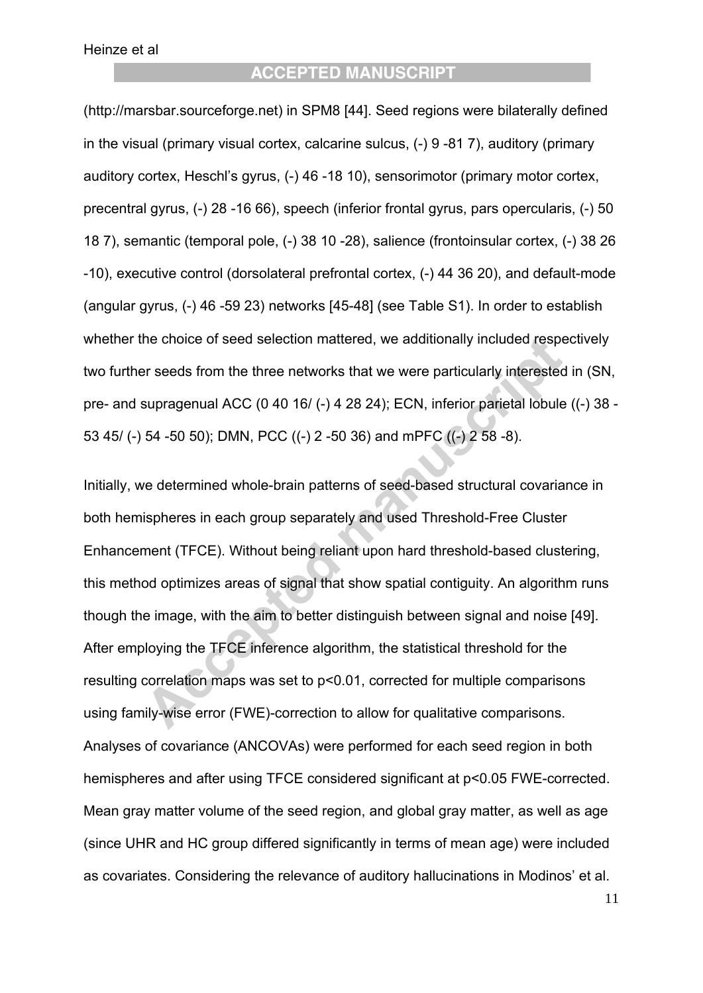# **ACCEPTED MANUSCRIPT**

(http://marsbar.sourceforge.net) in SPM8 [44]. Seed regions were bilaterally defined in the visual (primary visual cortex, calcarine sulcus, (-) 9 -81 7), auditory (primary auditory cortex, Heschl's gyrus, (-) 46 -18 10), sensorimotor (primary motor cortex, precentral gyrus, (-) 28 -16 66), speech (inferior frontal gyrus, pars opercularis, (-) 50 18 7), semantic (temporal pole, (-) 38 10 -28), salience (frontoinsular cortex, (-) 38 26 -10), executive control (dorsolateral prefrontal cortex, (-) 44 36 20), and default-mode (angular gyrus, (-) 46 -59 23) networks [45-48] (see Table S1). In order to establish whether the choice of seed selection mattered, we additionally included respectively two further seeds from the three networks that we were particularly interested in (SN, pre- and supragenual ACC (0 40 16/ (-) 4 28 24); ECN, inferior parietal lobule ((-) 38 - 53 45/ (-) 54 -50 50); DMN, PCC ((-) 2 -50 36) and mPFC ((-) 2 58 -8).

Initially, we determined whole-brain patterns of seed-based structural covariance in both hemispheres in each group separately and used Threshold-Free Cluster Enhancement (TFCE). Without being reliant upon hard threshold-based clustering, this method optimizes areas of signal that show spatial contiguity. An algorithm runs though the image, with the aim to better distinguish between signal and noise [49]. After employing the TFCE inference algorithm, the statistical threshold for the resulting correlation maps was set to p<0.01, corrected for multiple comparisons using family-wise error (FWE)-correction to allow for qualitative comparisons. Analyses of covariance (ANCOVAs) were performed for each seed region in both hemispheres and after using TFCE considered significant at p<0.05 FWE-corrected. Mean gray matter volume of the seed region, and global gray matter, as well as age (since UHR and HC group differed significantly in terms of mean age) were included as covariates. Considering the relevance of auditory hallucinations in Modinos' et al.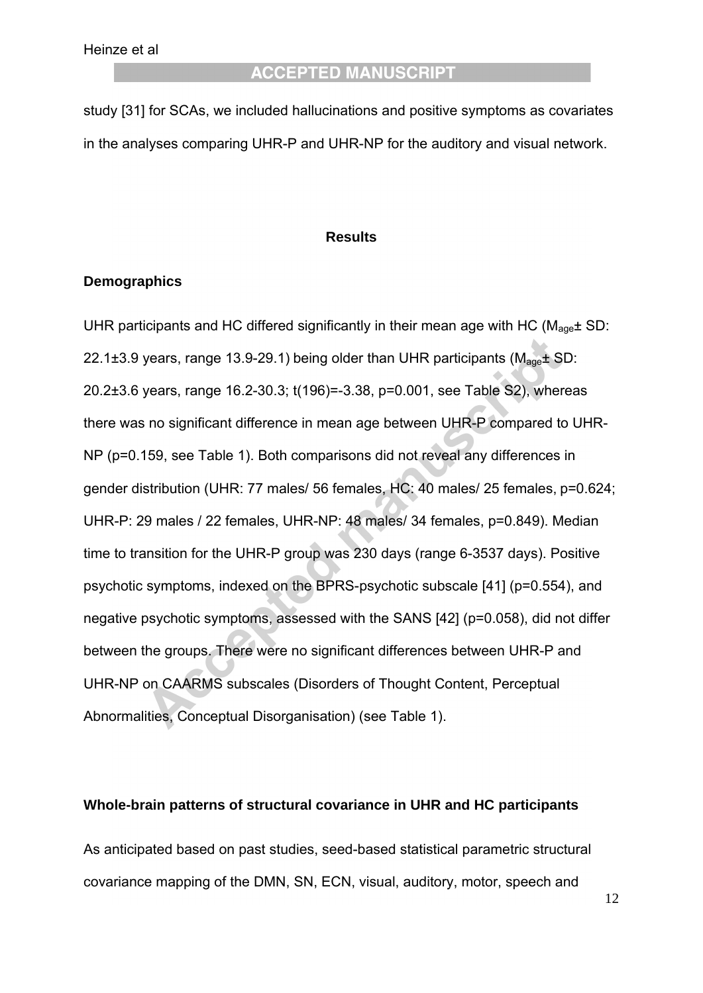study [31] for SCAs, we included hallucinations and positive symptoms as covariates in the analyses comparing UHR-P and UHR-NP for the auditory and visual network.

#### **Results**

#### **Demographics**

UHR participants and HC differed significantly in their mean age with HC ( $M_{\text{ace}}\pm$  SD: 22.1 $\pm$ 3.9 years, range 13.9-29.1) being older than UHR participants ( $M_{\text{aoe}}\pm$  SD: 20.2±3.6 years, range 16.2-30.3; t(196)=-3.38, p=0.001, see Table S2), whereas there was no significant difference in mean age between UHR-P compared to UHR-NP (p=0.159, see Table 1). Both comparisons did not reveal any differences in gender distribution (UHR: 77 males/ 56 females, HC: 40 males/ 25 females, p=0.624; UHR-P: 29 males / 22 females, UHR-NP: 48 males/ 34 females, p=0.849). Median time to transition for the UHR-P group was 230 days (range 6-3537 days). Positive psychotic symptoms, indexed on the BPRS-psychotic subscale [41] (p=0.554), and negative psychotic symptoms, assessed with the SANS [42] (p=0.058), did not differ between the groups. There were no significant differences between UHR-P and UHR-NP on CAARMS subscales (Disorders of Thought Content, Perceptual Abnormalities, Conceptual Disorganisation) (see Table 1).

#### **Whole-brain patterns of structural covariance in UHR and HC participants**

As anticipated based on past studies, seed-based statistical parametric structural covariance mapping of the DMN, SN, ECN, visual, auditory, motor, speech and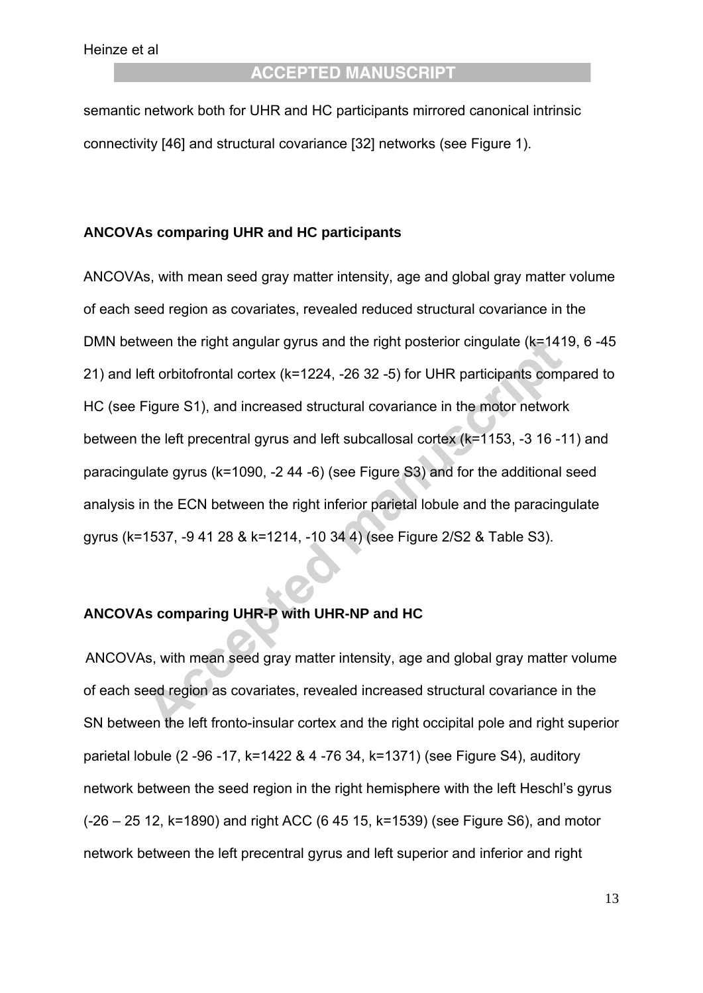semantic network both for UHR and HC participants mirrored canonical intrinsic connectivity [46] and structural covariance [32] networks (see Figure 1).

#### **ANCOVAs comparing UHR and HC participants**

ANCOVAs, with mean seed gray matter intensity, age and global gray matter volume of each seed region as covariates, revealed reduced structural covariance in the DMN between the right angular gyrus and the right posterior cingulate (k=1419, 6 -45 21) and left orbitofrontal cortex (k=1224, -26 32 -5) for UHR participants compared to HC (see Figure S1), and increased structural covariance in the motor network between the left precentral gyrus and left subcallosal cortex (k=1153, -3 16 -11) and paracingulate gyrus (k=1090, -2 44 -6) (see Figure S3) and for the additional seed analysis in the ECN between the right inferior parietal lobule and the paracingulate gyrus (k=1537, -9 41 28 & k=1214, -10 34 4) (see Figure 2/S2 & Table S3).

#### **ANCOVAs comparing UHR-P with UHR-NP and HC**

ANCOVAs, with mean seed gray matter intensity, age and global gray matter volume of each seed region as covariates, revealed increased structural covariance in the SN between the left fronto-insular cortex and the right occipital pole and right superior parietal lobule (2 -96 -17, k=1422 & 4 -76 34, k=1371) (see Figure S4), auditory network between the seed region in the right hemisphere with the left Heschl's gyrus (-26 – 25 12, k=1890) and right ACC (6 45 15, k=1539) (see Figure S6), and motor network between the left precentral gyrus and left superior and inferior and right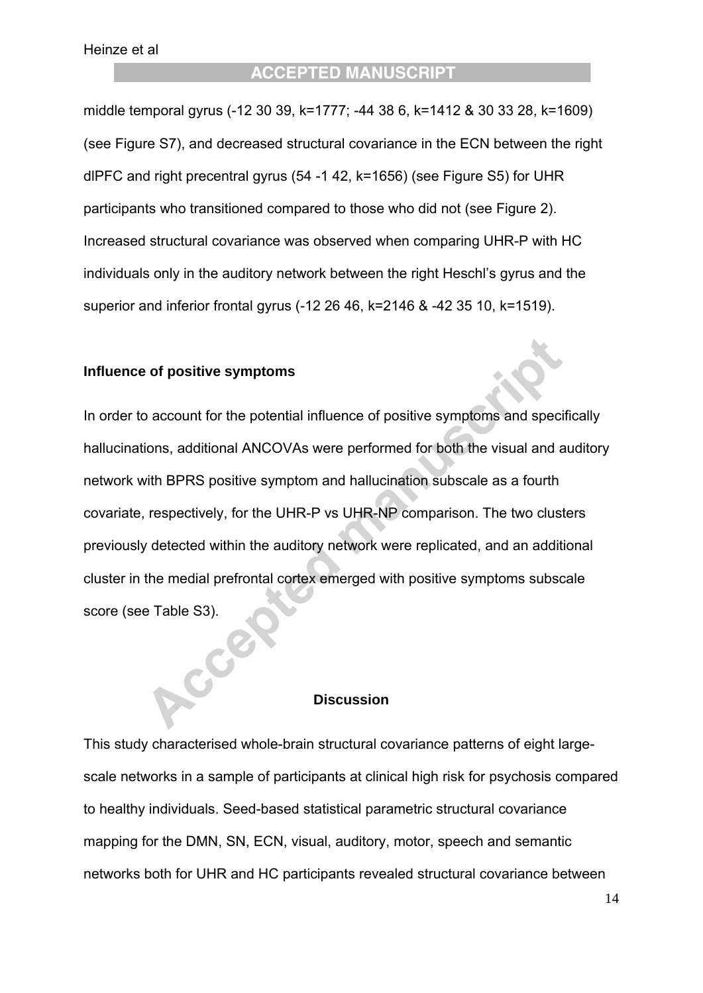middle temporal gyrus (-12 30 39, k=1777; -44 38 6, k=1412 & 30 33 28, k=1609) (see Figure S7), and decreased structural covariance in the ECN between the right dlPFC and right precentral gyrus (54 -1 42, k=1656) (see Figure S5) for UHR participants who transitioned compared to those who did not (see Figure 2). Increased structural covariance was observed when comparing UHR-P with HC individuals only in the auditory network between the right Heschl's gyrus and the superior and inferior frontal gyrus (-12 26 46, k=2146 & -42 35 10, k=1519).

#### **Influence of positive symptoms**

In order to account for the potential influence of positive symptoms and specifically hallucinations, additional ANCOVAs were performed for both the visual and auditory network with BPRS positive symptom and hallucination subscale as a fourth covariate, respectively, for the UHR-P vs UHR-NP comparison. The two clusters previously detected within the auditory network were replicated, and an additional cluster in the medial prefrontal cortex emerged with positive symptoms subscale score (see Table S3).

#### **Discussion**

This study characterised whole-brain structural covariance patterns of eight largescale networks in a sample of participants at clinical high risk for psychosis compared to healthy individuals. Seed-based statistical parametric structural covariance mapping for the DMN, SN, ECN, visual, auditory, motor, speech and semantic networks both for UHR and HC participants revealed structural covariance between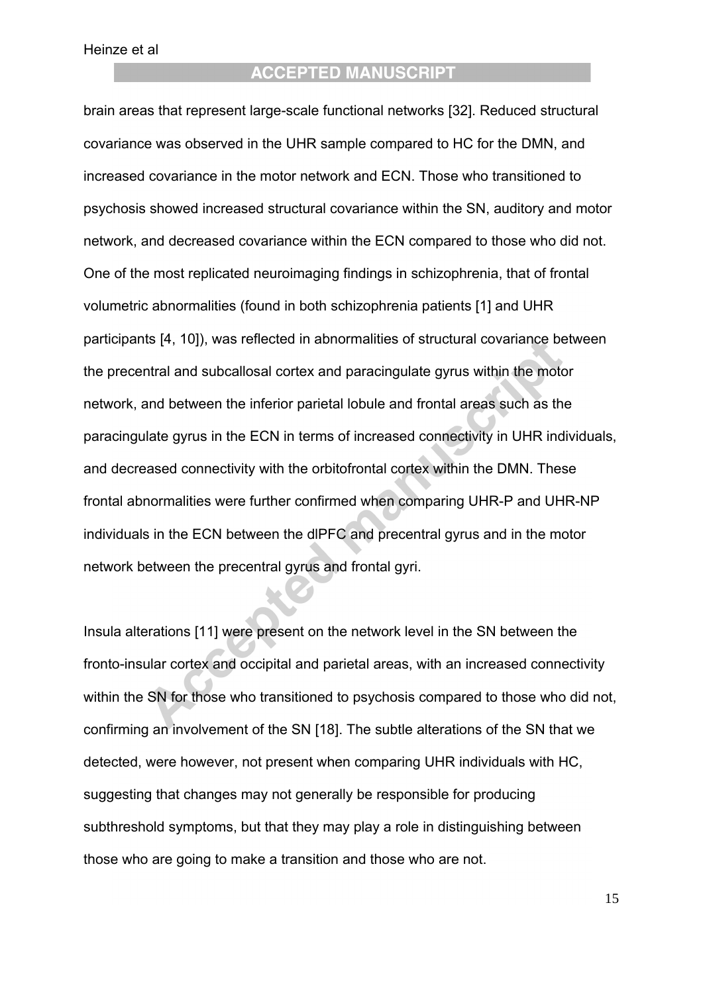# **ACCEPTED MANUSCRIPT**

brain areas that represent large-scale functional networks [32]. Reduced structural covariance was observed in the UHR sample compared to HC for the DMN, and increased covariance in the motor network and ECN. Those who transitioned to psychosis showed increased structural covariance within the SN, auditory and motor network, and decreased covariance within the ECN compared to those who did not. One of the most replicated neuroimaging findings in schizophrenia, that of frontal volumetric abnormalities (found in both schizophrenia patients [1] and UHR participants [4, 10]), was reflected in abnormalities of structural covariance between the precentral and subcallosal cortex and paracingulate gyrus within the motor network, and between the inferior parietal lobule and frontal areas such as the paracingulate gyrus in the ECN in terms of increased connectivity in UHR individuals, and decreased connectivity with the orbitofrontal cortex within the DMN. These frontal abnormalities were further confirmed when comparing UHR-P and UHR-NP individuals in the ECN between the dlPFC and precentral gyrus and in the motor network between the precentral gyrus and frontal gyri.

Insula alterations [11] were present on the network level in the SN between the fronto-insular cortex and occipital and parietal areas, with an increased connectivity within the SN for those who transitioned to psychosis compared to those who did not, confirming an involvement of the SN [18]. The subtle alterations of the SN that we detected, were however, not present when comparing UHR individuals with HC, suggesting that changes may not generally be responsible for producing subthreshold symptoms, but that they may play a role in distinguishing between those who are going to make a transition and those who are not.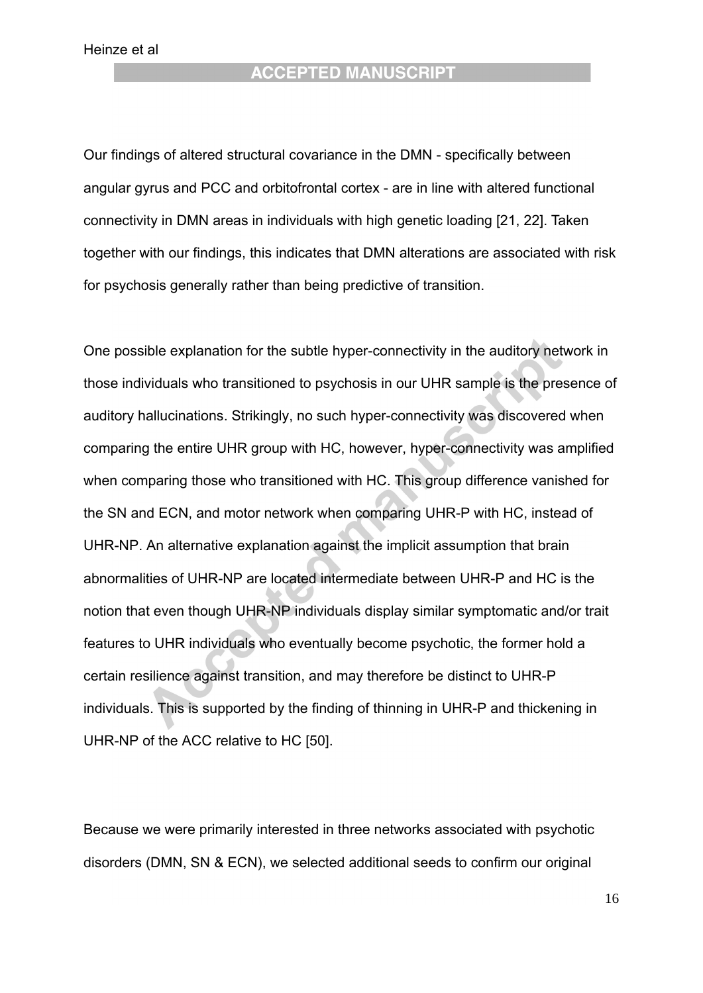Our findings of altered structural covariance in the DMN - specifically between angular gyrus and PCC and orbitofrontal cortex - are in line with altered functional connectivity in DMN areas in individuals with high genetic loading [21, 22]. Taken together with our findings, this indicates that DMN alterations are associated with risk for psychosis generally rather than being predictive of transition.

One possible explanation for the subtle hyper-connectivity in the auditory network in those individuals who transitioned to psychosis in our UHR sample is the presence of auditory hallucinations. Strikingly, no such hyper-connectivity was discovered when comparing the entire UHR group with HC, however, hyper-connectivity was amplified when comparing those who transitioned with HC. This group difference vanished for the SN and ECN, and motor network when comparing UHR-P with HC, instead of UHR-NP. An alternative explanation against the implicit assumption that brain abnormalities of UHR-NP are located intermediate between UHR-P and HC is the notion that even though UHR-NP individuals display similar symptomatic and/or trait features to UHR individuals who eventually become psychotic, the former hold a certain resilience against transition, and may therefore be distinct to UHR-P individuals. This is supported by the finding of thinning in UHR-P and thickening in UHR-NP of the ACC relative to HC [50].

Because we were primarily interested in three networks associated with psychotic disorders (DMN, SN & ECN), we selected additional seeds to confirm our original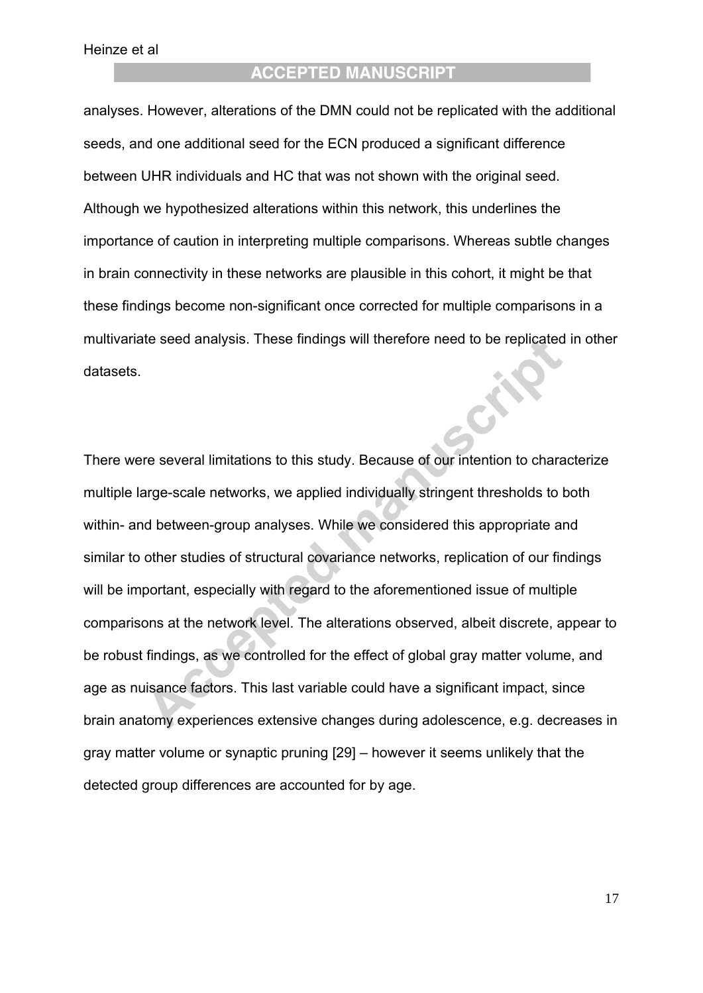analyses. However, alterations of the DMN could not be replicated with the additional seeds, and one additional seed for the ECN produced a significant difference between UHR individuals and HC that was not shown with the original seed. Although we hypothesized alterations within this network, this underlines the importance of caution in interpreting multiple comparisons. Whereas subtle changes in brain connectivity in these networks are plausible in this cohort, it might be that these findings become non-significant once corrected for multiple comparisons in a multivariate seed analysis. These findings will therefore need to be replicated in other datasets.

There were several limitations to this study. Because of our intention to characterize multiple large-scale networks, we applied individually stringent thresholds to both within- and between-group analyses. While we considered this appropriate and similar to other studies of structural covariance networks, replication of our findings will be important, especially with regard to the aforementioned issue of multiple comparisons at the network level. The alterations observed, albeit discrete, appear to be robust findings, as we controlled for the effect of global gray matter volume, and age as nuisance factors. This last variable could have a significant impact, since brain anatomy experiences extensive changes during adolescence, e.g. decreases in gray matter volume or synaptic pruning [29] – however it seems unlikely that the detected group differences are accounted for by age.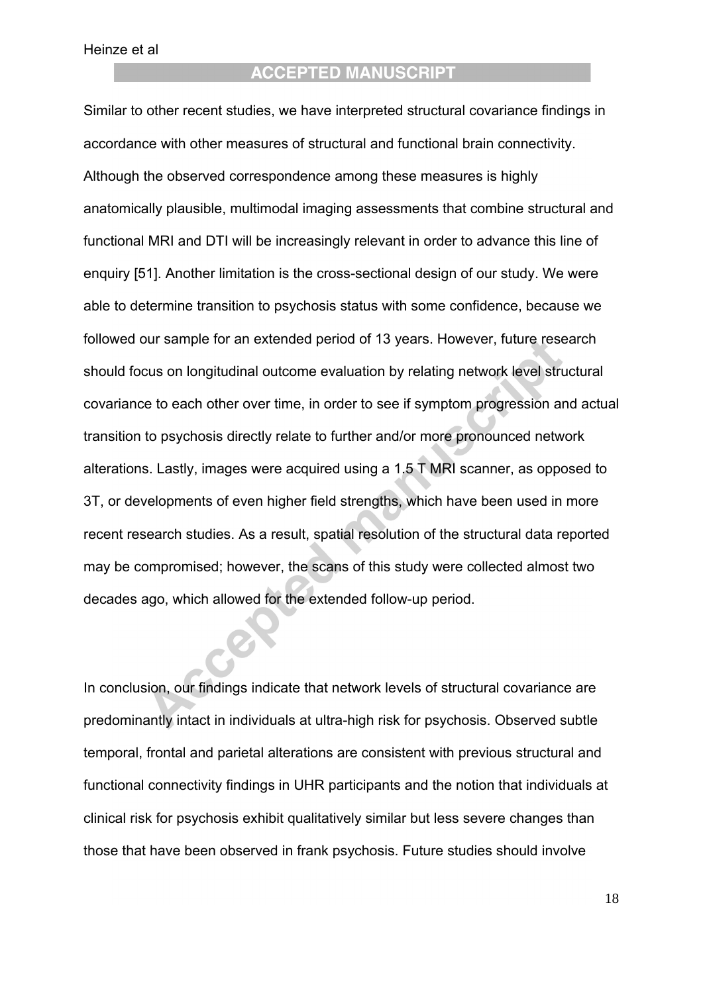Similar to other recent studies, we have interpreted structural covariance findings in accordance with other measures of structural and functional brain connectivity. Although the observed correspondence among these measures is highly anatomically plausible, multimodal imaging assessments that combine structural and functional MRI and DTI will be increasingly relevant in order to advance this line of enquiry [51]. Another limitation is the cross-sectional design of our study. We were able to determine transition to psychosis status with some confidence, because we followed our sample for an extended period of 13 years. However, future research should focus on longitudinal outcome evaluation by relating network level structural covariance to each other over time, in order to see if symptom progression and actual transition to psychosis directly relate to further and/or more pronounced network alterations. Lastly, images were acquired using a 1.5 T MRI scanner, as opposed to 3T, or developments of even higher field strengths, which have been used in more recent research studies. As a result, spatial resolution of the structural data reported may be compromised; however, the scans of this study were collected almost two decades ago, which allowed for the extended follow-up period.

In conclusion, our findings indicate that network levels of structural covariance are predominantly intact in individuals at ultra-high risk for psychosis. Observed subtle temporal, frontal and parietal alterations are consistent with previous structural and functional connectivity findings in UHR participants and the notion that individuals at clinical risk for psychosis exhibit qualitatively similar but less severe changes than those that have been observed in frank psychosis. Future studies should involve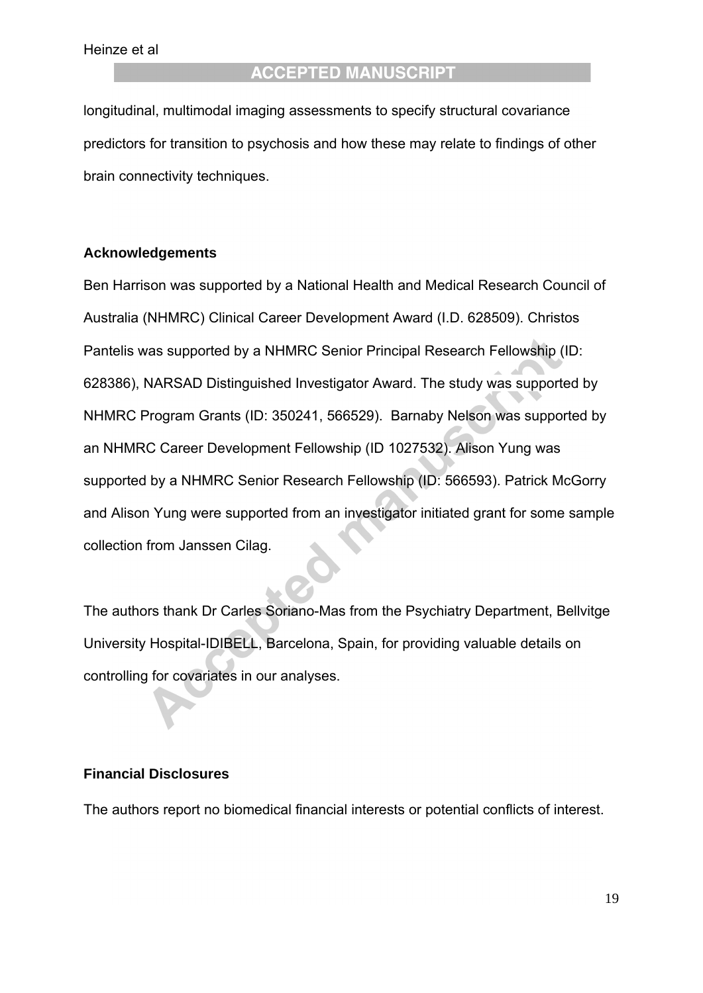longitudinal, multimodal imaging assessments to specify structural covariance predictors for transition to psychosis and how these may relate to findings of other brain connectivity techniques.

#### **Acknowledgements**

Ben Harrison was supported by a National Health and Medical Research Council of Australia (NHMRC) Clinical Career Development Award (I.D. 628509). Christos Pantelis was supported by a NHMRC Senior Principal Research Fellowship (ID: 628386), NARSAD Distinguished Investigator Award. The study was supported by NHMRC Program Grants (ID: 350241, 566529). Barnaby Nelson was supported by an NHMRC Career Development Fellowship (ID 1027532). Alison Yung was supported by a NHMRC Senior Research Fellowship (ID: 566593). Patrick McGorry and Alison Yung were supported from an investigator initiated grant for some sample collection from Janssen Cilag.

The authors thank Dr Carles Soriano-Mas from the Psychiatry Department, Bellvitge University Hospital-IDIBELL, Barcelona, Spain, for providing valuable details on controlling for covariates in our analyses.

#### **Financial Disclosures**

The authors report no biomedical financial interests or potential conflicts of interest.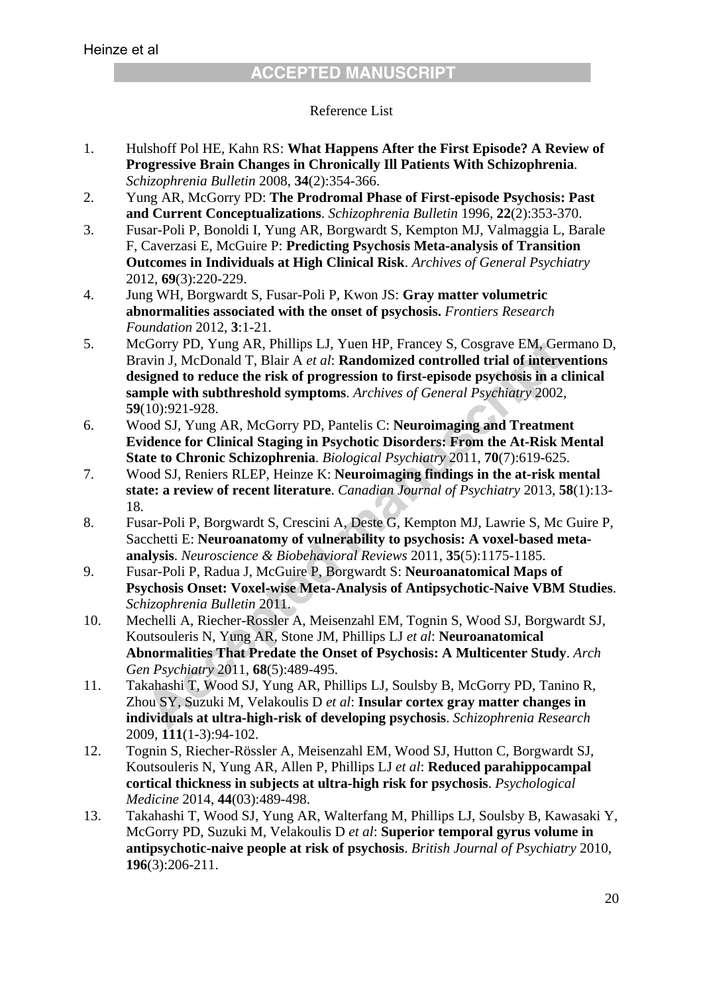#### Reference List

- 1. Hulshoff Pol HE, Kahn RS: **What Happens After the First Episode? A Review of Progressive Brain Changes in Chronically Ill Patients With Schizophrenia**. *Schizophrenia Bulletin* 2008, **34**(2):354-366.
- 2. Yung AR, McGorry PD: **The Prodromal Phase of First-episode Psychosis: Past and Current Conceptualizations**. *Schizophrenia Bulletin* 1996, **22**(2):353-370.
- 3. Fusar-Poli P, Bonoldi I, Yung AR, Borgwardt S, Kempton MJ, Valmaggia L, Barale F, Caverzasi E, McGuire P: **Predicting Psychosis Meta-analysis of Transition Outcomes in Individuals at High Clinical Risk**. *Archives of General Psychiatry*  2012, **69**(3):220-229.
- 4. Jung WH, Borgwardt S, Fusar-Poli P, Kwon JS: **Gray matter volumetric abnormalities associated with the onset of psychosis.** *Frontiers Research Foundation* 2012, **3**:1-21.
- 5. McGorry PD, Yung AR, Phillips LJ, Yuen HP, Francey S, Cosgrave EM, Germano D, Bravin J, McDonald T, Blair A *et al*: **Randomized controlled trial of interventions designed to reduce the risk of progression to first-episode psychosis in a clinical sample with subthreshold symptoms**. *Archives of General Psychiatry* 2002, **59**(10):921-928.
- 6. Wood SJ, Yung AR, McGorry PD, Pantelis C: **Neuroimaging and Treatment Evidence for Clinical Staging in Psychotic Disorders: From the At-Risk Mental State to Chronic Schizophrenia**. *Biological Psychiatry* 2011, **70**(7):619-625.
- 7. Wood SJ, Reniers RLEP, Heinze K: **Neuroimaging findings in the at-risk mental state: a review of recent literature**. *Canadian Journal of Psychiatry* 2013, **58**(1):13- 18.
- 8. Fusar-Poli P, Borgwardt S, Crescini A, Deste G, Kempton MJ, Lawrie S, Mc Guire P, Sacchetti E: **Neuroanatomy of vulnerability to psychosis: A voxel-based metaanalysis**. *Neuroscience & Biobehavioral Reviews* 2011, **35**(5):1175-1185.
- 9. Fusar-Poli P, Radua J, McGuire P, Borgwardt S: **Neuroanatomical Maps of Psychosis Onset: Voxel-wise Meta-Analysis of Antipsychotic-Naive VBM Studies**. *Schizophrenia Bulletin* 2011.
- 10. Mechelli A, Riecher-Rossler A, Meisenzahl EM, Tognin S, Wood SJ, Borgwardt SJ, Koutsouleris N, Yung AR, Stone JM, Phillips LJ *et al*: **Neuroanatomical Abnormalities That Predate the Onset of Psychosis: A Multicenter Study**. *Arch Gen Psychiatry* 2011, **68**(5):489-495.
- 11. Takahashi T, Wood SJ, Yung AR, Phillips LJ, Soulsby B, McGorry PD, Tanino R, Zhou SY, Suzuki M, Velakoulis D *et al*: **Insular cortex gray matter changes in individuals at ultra-high-risk of developing psychosis**. *Schizophrenia Research*  2009, **111**(1-3):94-102.
- 12. Tognin S, Riecher-Rössler A, Meisenzahl EM, Wood SJ, Hutton C, Borgwardt SJ, Koutsouleris N, Yung AR, Allen P, Phillips LJ *et al*: **Reduced parahippocampal cortical thickness in subjects at ultra-high risk for psychosis**. *Psychological Medicine* 2014, **44**(03):489-498.
- 13. Takahashi T, Wood SJ, Yung AR, Walterfang M, Phillips LJ, Soulsby B, Kawasaki Y, McGorry PD, Suzuki M, Velakoulis D *et al*: **Superior temporal gyrus volume in antipsychotic-naive people at risk of psychosis**. *British Journal of Psychiatry* 2010, **196**(3):206-211.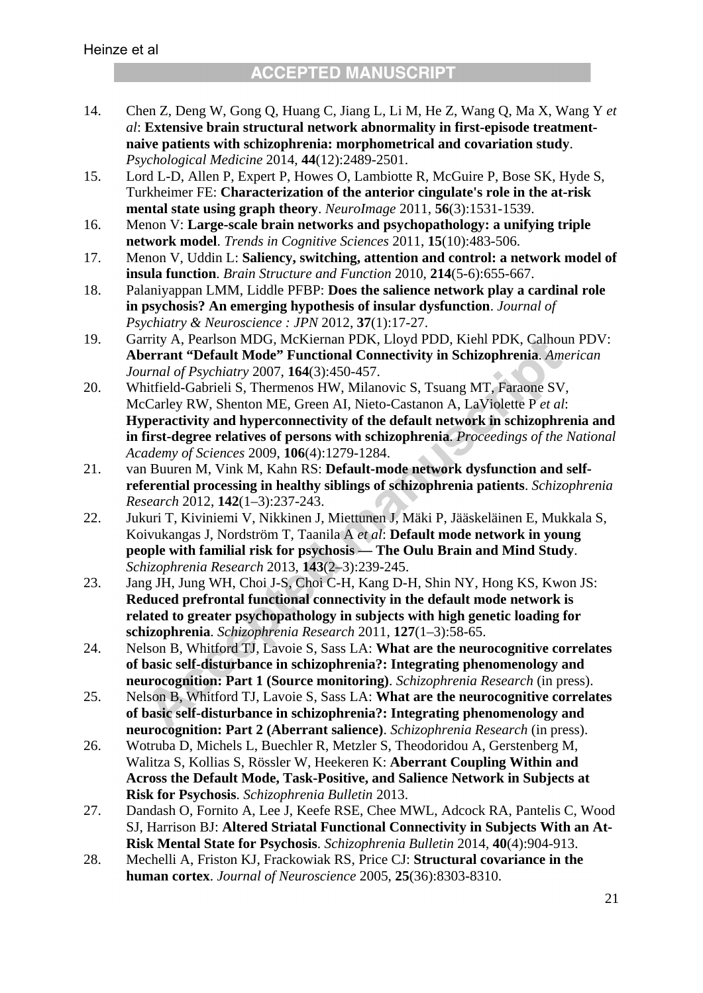- 14. Chen Z, Deng W, Gong Q, Huang C, Jiang L, Li M, He Z, Wang Q, Ma X, Wang Y *et al*: **Extensive brain structural network abnormality in first-episode treatmentnaive patients with schizophrenia: morphometrical and covariation study**. *Psychological Medicine* 2014, **44**(12):2489-2501.
- 15. Lord L-D, Allen P, Expert P, Howes O, Lambiotte R, McGuire P, Bose SK, Hyde S, Turkheimer FE: **Characterization of the anterior cingulate's role in the at-risk mental state using graph theory**. *NeuroImage* 2011, **56**(3):1531-1539.
- 16. Menon V: **Large-scale brain networks and psychopathology: a unifying triple network model**. *Trends in Cognitive Sciences* 2011, **15**(10):483-506.
- 17. Menon V, Uddin L: **Saliency, switching, attention and control: a network model of insula function**. *Brain Structure and Function* 2010, **214**(5-6):655-667.
- 18. Palaniyappan LMM, Liddle PFBP: **Does the salience network play a cardinal role in psychosis? An emerging hypothesis of insular dysfunction**. *Journal of Psychiatry & Neuroscience : JPN* 2012, **37**(1):17-27.
- 19. Garrity A, Pearlson MDG, McKiernan PDK, Lloyd PDD, Kiehl PDK, Calhoun PDV: **Aberrant "Default Mode" Functional Connectivity in Schizophrenia**. *American Journal of Psychiatry* 2007, **164**(3):450-457.
- 20. Whitfield-Gabrieli S, Thermenos HW, Milanovic S, Tsuang MT, Faraone SV, McCarley RW, Shenton ME, Green AI, Nieto-Castanon A, LaViolette P *et al*: **Hyperactivity and hyperconnectivity of the default network in schizophrenia and in first-degree relatives of persons with schizophrenia**. *Proceedings of the National Academy of Sciences* 2009, **106**(4):1279-1284.
- 21. van Buuren M, Vink M, Kahn RS: **Default-mode network dysfunction and selfreferential processing in healthy siblings of schizophrenia patients**. *Schizophrenia Research* 2012, **142**(1–3):237-243.
- 22. Jukuri T, Kiviniemi V, Nikkinen J, Miettunen J, Mäki P, Jääskeläinen E, Mukkala S, Koivukangas J, Nordström T, Taanila A *et al*: **Default mode network in young people with familial risk for psychosis — The Oulu Brain and Mind Study**. *Schizophrenia Research* 2013, **143**(2–3):239-245.
- 23. Jang JH, Jung WH, Choi J-S, Choi C-H, Kang D-H, Shin NY, Hong KS, Kwon JS: **Reduced prefrontal functional connectivity in the default mode network is related to greater psychopathology in subjects with high genetic loading for schizophrenia**. *Schizophrenia Research* 2011, **127**(1–3):58-65.
- 24. Nelson B, Whitford TJ, Lavoie S, Sass LA: **What are the neurocognitive correlates of basic self-disturbance in schizophrenia?: Integrating phenomenology and neurocognition: Part 1 (Source monitoring)**. *Schizophrenia Research* (in press).
- 25. Nelson B, Whitford TJ, Lavoie S, Sass LA: **What are the neurocognitive correlates of basic self-disturbance in schizophrenia?: Integrating phenomenology and neurocognition: Part 2 (Aberrant salience)**. *Schizophrenia Research* (in press).
- 26. Wotruba D, Michels L, Buechler R, Metzler S, Theodoridou A, Gerstenberg M, Walitza S, Kollias S, Rössler W, Heekeren K: **Aberrant Coupling Within and Across the Default Mode, Task-Positive, and Salience Network in Subjects at Risk for Psychosis**. *Schizophrenia Bulletin* 2013.
- 27. Dandash O, Fornito A, Lee J, Keefe RSE, Chee MWL, Adcock RA, Pantelis C, Wood SJ, Harrison BJ: **Altered Striatal Functional Connectivity in Subjects With an At-Risk Mental State for Psychosis**. *Schizophrenia Bulletin* 2014, **40**(4):904-913.
- 28. Mechelli A, Friston KJ, Frackowiak RS, Price CJ: **Structural covariance in the human cortex**. *Journal of Neuroscience* 2005, **25**(36):8303-8310.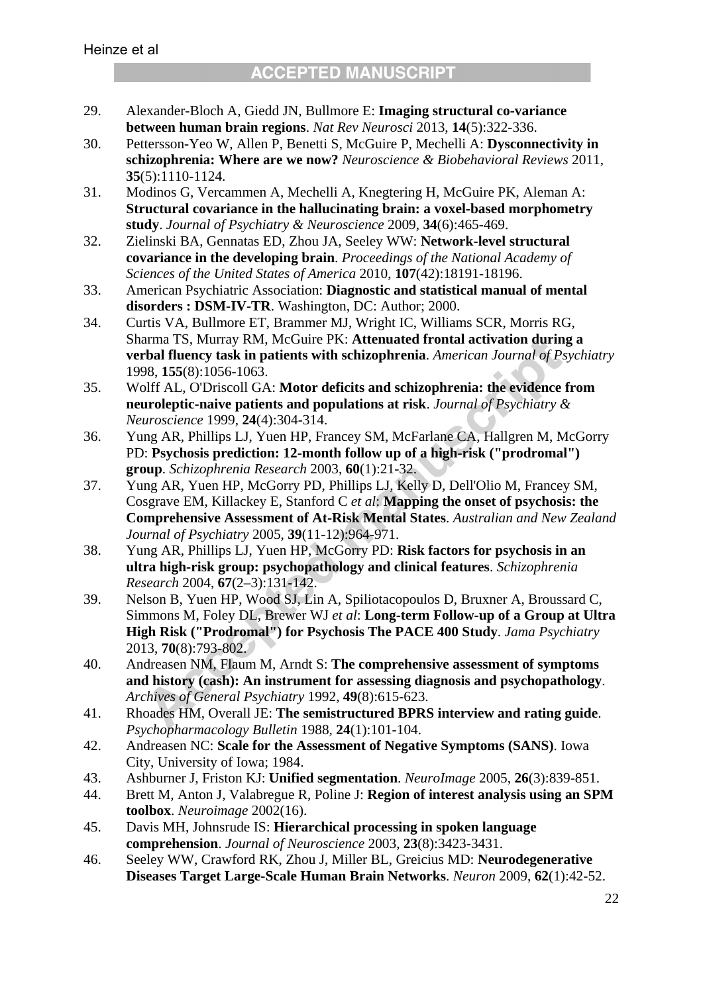- 29. Alexander-Bloch A, Giedd JN, Bullmore E: **Imaging structural co-variance between human brain regions**. *Nat Rev Neurosci* 2013, **14**(5):322-336.
- 30. Pettersson-Yeo W, Allen P, Benetti S, McGuire P, Mechelli A: **Dysconnectivity in schizophrenia: Where are we now?** *Neuroscience & Biobehavioral Reviews* 2011, **35**(5):1110-1124.
- 31. Modinos G, Vercammen A, Mechelli A, Knegtering H, McGuire PK, Aleman A: **Structural covariance in the hallucinating brain: a voxel-based morphometry study**. *Journal of Psychiatry & Neuroscience* 2009, **34**(6):465-469.
- 32. Zielinski BA, Gennatas ED, Zhou JA, Seeley WW: **Network-level structural covariance in the developing brain**. *Proceedings of the National Academy of Sciences of the United States of America* 2010, **107**(42):18191-18196.
- 33. American Psychiatric Association: **Diagnostic and statistical manual of mental disorders : DSM-IV-TR**. Washington, DC: Author; 2000.
- 34. Curtis VA, Bullmore ET, Brammer MJ, Wright IC, Williams SCR, Morris RG, Sharma TS, Murray RM, McGuire PK: **Attenuated frontal activation during a verbal fluency task in patients with schizophrenia**. *American Journal of Psychiatry*  1998, **155**(8):1056-1063.
- 35. Wolff AL, O'Driscoll GA: **Motor deficits and schizophrenia: the evidence from neuroleptic-naive patients and populations at risk**. *Journal of Psychiatry & Neuroscience* 1999, **24**(4):304-314.
- 36. Yung AR, Phillips LJ, Yuen HP, Francey SM, McFarlane CA, Hallgren M, McGorry PD: **Psychosis prediction: 12-month follow up of a high-risk ("prodromal") group**. *Schizophrenia Research* 2003, **60**(1):21-32.
- 37. Yung AR, Yuen HP, McGorry PD, Phillips LJ, Kelly D, Dell'Olio M, Francey SM, Cosgrave EM, Killackey E, Stanford C *et al*: **Mapping the onset of psychosis: the Comprehensive Assessment of At-Risk Mental States**. *Australian and New Zealand Journal of Psychiatry* 2005, **39**(11-12):964-971.
- 38. Yung AR, Phillips LJ, Yuen HP, McGorry PD: **Risk factors for psychosis in an ultra high-risk group: psychopathology and clinical features**. *Schizophrenia Research* 2004, **67**(2–3):131-142.
- 39. Nelson B, Yuen HP, Wood SJ, Lin A, Spiliotacopoulos D, Bruxner A, Broussard C, Simmons M, Foley DL, Brewer WJ *et al*: **Long-term Follow-up of a Group at Ultra High Risk ("Prodromal") for Psychosis The PACE 400 Study**. *Jama Psychiatry*  2013, **70**(8):793-802.
- 40. Andreasen NM, Flaum M, Arndt S: **The comprehensive assessment of symptoms and history (cash): An instrument for assessing diagnosis and psychopathology**. *Archives of General Psychiatry* 1992, **49**(8):615-623.
- 41. Rhoades HM, Overall JE: **The semistructured BPRS interview and rating guide**. *Psychopharmacology Bulletin* 1988, **24**(1):101-104.
- 42. Andreasen NC: **Scale for the Assessment of Negative Symptoms (SANS)**. Iowa City, University of Iowa; 1984.
- 43. Ashburner J, Friston KJ: **Unified segmentation**. *NeuroImage* 2005, **26**(3):839-851.
- 44. Brett M, Anton J, Valabregue R, Poline J: **Region of interest analysis using an SPM toolbox**. *Neuroimage* 2002(16).
- 45. Davis MH, Johnsrude IS: **Hierarchical processing in spoken language comprehension**. *Journal of Neuroscience* 2003, **23**(8):3423-3431.
- 46. Seeley WW, Crawford RK, Zhou J, Miller BL, Greicius MD: **Neurodegenerative Diseases Target Large-Scale Human Brain Networks**. *Neuron* 2009, **62**(1):42-52.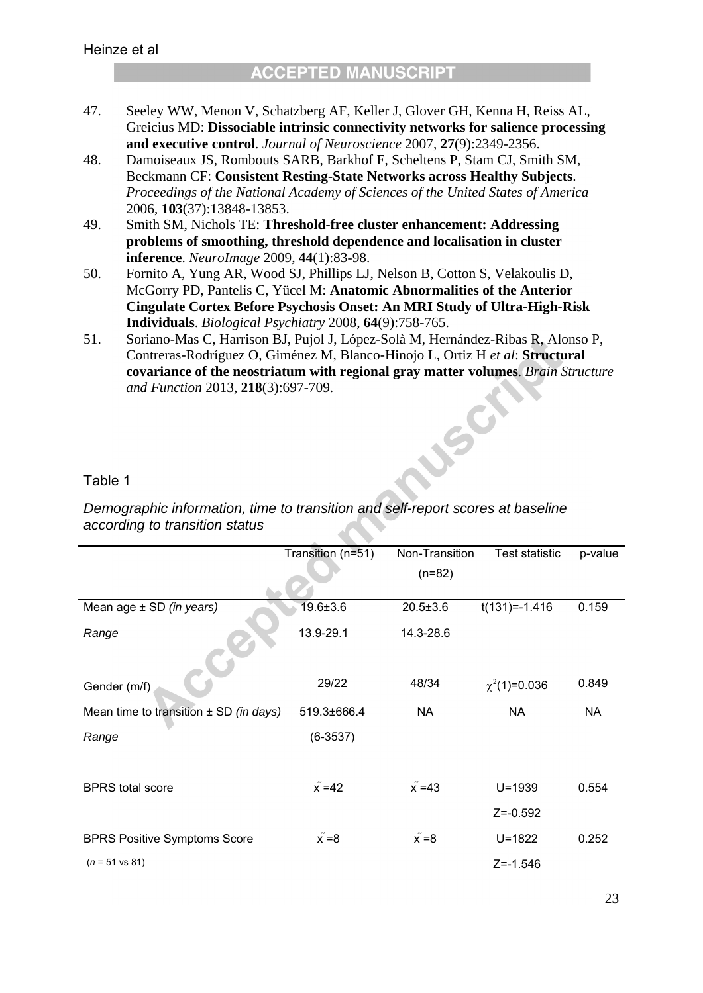- 47. Seeley WW, Menon V, Schatzberg AF, Keller J, Glover GH, Kenna H, Reiss AL, Greicius MD: **Dissociable intrinsic connectivity networks for salience processing and executive control**. *Journal of Neuroscience* 2007, **27**(9):2349-2356.
- 48. Damoiseaux JS, Rombouts SARB, Barkhof F, Scheltens P, Stam CJ, Smith SM, Beckmann CF: **Consistent Resting-State Networks across Healthy Subjects**. *Proceedings of the National Academy of Sciences of the United States of America*  2006, **103**(37):13848-13853.
- 49. Smith SM, Nichols TE: **Threshold-free cluster enhancement: Addressing problems of smoothing, threshold dependence and localisation in cluster inference**. *NeuroImage* 2009, **44**(1):83-98.
- 50. Fornito A, Yung AR, Wood SJ, Phillips LJ, Nelson B, Cotton S, Velakoulis D, McGorry PD, Pantelis C, Yücel M: **Anatomic Abnormalities of the Anterior Cingulate Cortex Before Psychosis Onset: An MRI Study of Ultra-High-Risk Individuals**. *Biological Psychiatry* 2008, **64**(9):758-765.
- 51. Soriano-Mas C, Harrison BJ, Pujol J, López-Solà M, Hernández-Ribas R, Alonso P, Contreras-Rodríguez O, Giménez M, Blanco-Hinojo L, Ortiz H *et al*: **Structural covariance of the neostriatum with regional gray matter volumes**. *Brain Structure and Function* 2013, **218**(3):697-709. LSC

### Table 1

*Demographic information, time to transition and self-report scores at baseline according to transition status* 

|                                            | Transition (n=51) | Non-Transition   | Test statistic    | p-value   |
|--------------------------------------------|-------------------|------------------|-------------------|-----------|
|                                            |                   | $(n=82)$         |                   |           |
| Mean age $\pm$ SD (in years)               | $19.6 + 3.6$      | $20.5 \pm 3.6$   | $t(131)=-1.416$   | 0.159     |
| Range                                      | 13.9-29.1         | 14.3-28.6        |                   |           |
|                                            |                   |                  |                   |           |
| Gender (m/f)                               | 29/22             | 48/34            | $\chi^2(1)=0.036$ | 0.849     |
| Mean time to transition $\pm$ SD (in days) | 519.3±666.4       | <b>NA</b>        | NA                | <b>NA</b> |
| Range                                      | $(6-3537)$        |                  |                   |           |
|                                            |                   |                  |                   |           |
| <b>BPRS</b> total score                    | $\tilde{x} = 42$  | $\tilde{x} = 43$ | $U = 1939$        | 0.554     |
|                                            |                   |                  | $Z = -0.592$      |           |
| <b>BPRS Positive Symptoms Score</b>        | $x = 8$           | $x = 8$          | $U = 1822$        | 0.252     |
| $(n = 51 \text{ vs } 81)$                  |                   |                  | $Z = -1.546$      |           |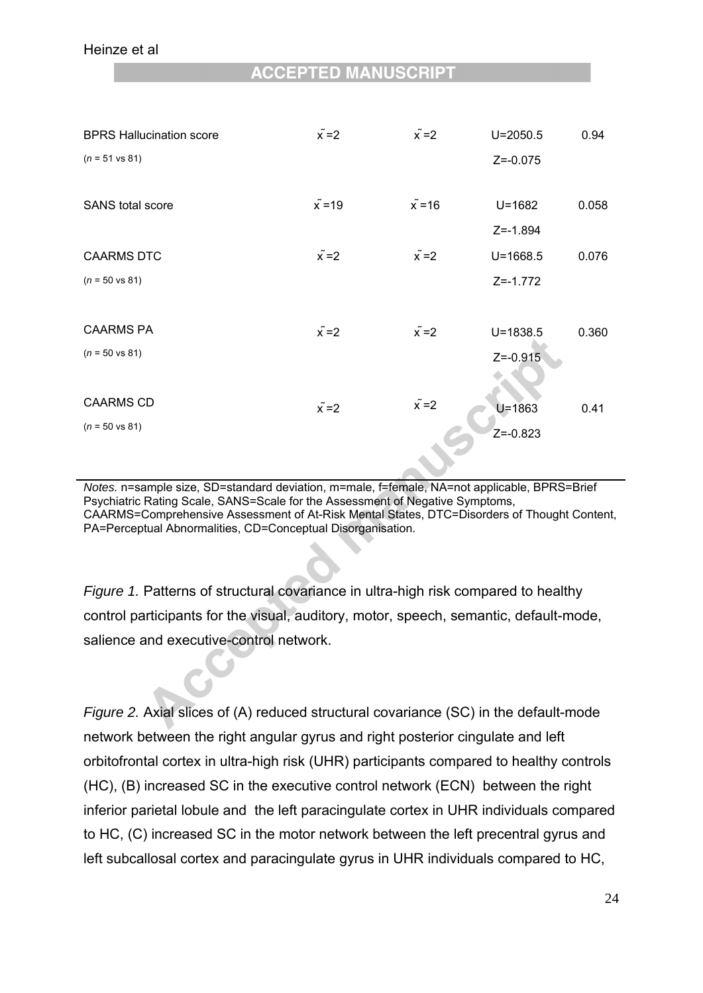| <b>BPRS Hallucination score</b> | $\tilde{x} = 2$  | $\tilde{x} = 2$ | $U = 2050.5$ | 0.94  |
|---------------------------------|------------------|-----------------|--------------|-------|
| $(n = 51 \text{ vs } 81)$       |                  |                 | $Z = -0.075$ |       |
|                                 |                  |                 |              |       |
| <b>SANS</b> total score         | $\tilde{x} = 19$ | $x = 16$        | $U = 1682$   | 0.058 |
|                                 |                  |                 | $Z = -1.894$ |       |
| <b>CAARMS DTC</b>               | $\tilde{x} = 2$  | $\tilde{x} = 2$ | $U = 1668.5$ | 0.076 |
| $(n = 50 \text{ vs } 81)$       |                  |                 | $Z = -1.772$ |       |
|                                 |                  |                 |              |       |
| <b>CAARMS PA</b>                | $\tilde{x} = 2$  | $\tilde{x} = 2$ | $U = 1838.5$ | 0.360 |
| $(n = 50 \text{ vs } 81)$       |                  |                 | $Z = -0.915$ |       |
|                                 |                  |                 |              |       |
| <b>CAARMS CD</b>                | $\tilde{x} = 2$  | $\tilde{x} = 2$ | $U = 1863$   | 0.41  |
| $(n = 50 \text{ vs } 81)$       |                  |                 | $Z = -0.823$ |       |
|                                 |                  |                 |              |       |

*Notes.* n=sample size, SD=standard deviation, m=male, f=female, NA=not applicable, BPRS=Brief Psychiatric Rating Scale, SANS=Scale for the Assessment of Negative Symptoms, CAARMS=Comprehensive Assessment of At-Risk Mental States, DTC=Disorders of Thought Content, PA=Perceptual Abnormalities, CD=Conceptual Disorganisation.

*Figure 1.* Patterns of structural covariance in ultra-high risk compared to healthy control participants for the visual, auditory, motor, speech, semantic, default-mode, salience and executive-control network.

*Figure 2.* Axial slices of (A) reduced structural covariance (SC) in the default-mode network between the right angular gyrus and right posterior cingulate and left orbitofrontal cortex in ultra-high risk (UHR) participants compared to healthy controls (HC), (B) increased SC in the executive control network (ECN) between the right inferior parietal lobule and the left paracingulate cortex in UHR individuals compared to HC, (C) increased SC in the motor network between the left precentral gyrus and left subcallosal cortex and paracingulate gyrus in UHR individuals compared to HC,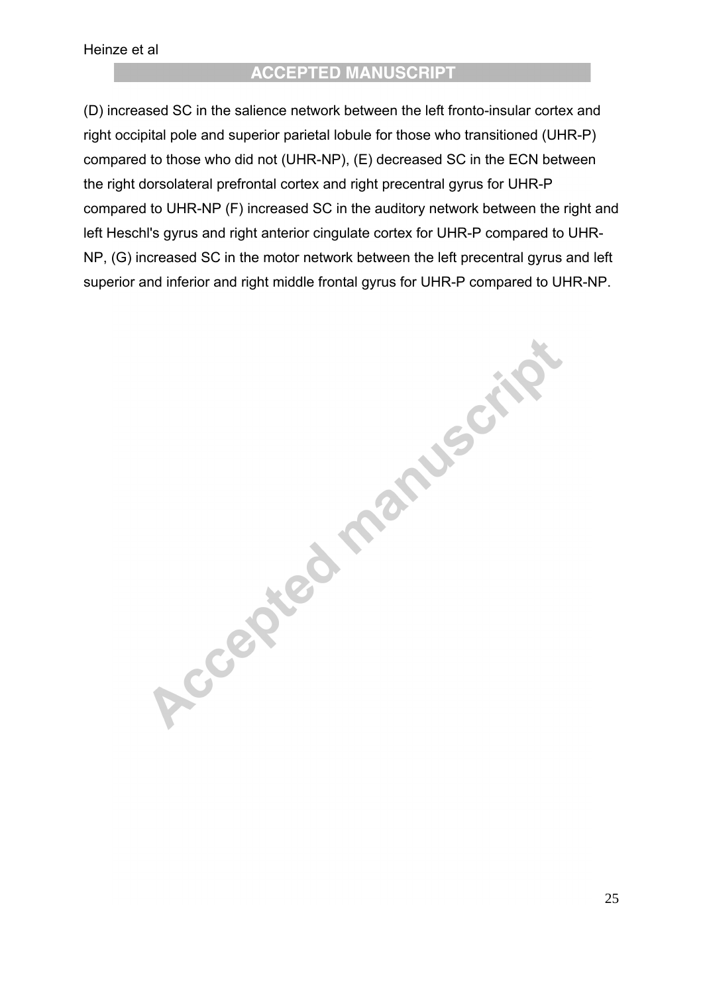(D) increased SC in the salience network between the left fronto-insular cortex and right occipital pole and superior parietal lobule for those who transitioned (UHR-P) compared to those who did not (UHR-NP), (E) decreased SC in the ECN between the right dorsolateral prefrontal cortex and right precentral gyrus for UHR-P compared to UHR-NP (F) increased SC in the auditory network between the right and left Heschl's gyrus and right anterior cingulate cortex for UHR-P compared to UHR-NP, (G) increased SC in the motor network between the left precentral gyrus and left superior and inferior and right middle frontal gyrus for UHR-P compared to UHR-NP.

Accepted manuscript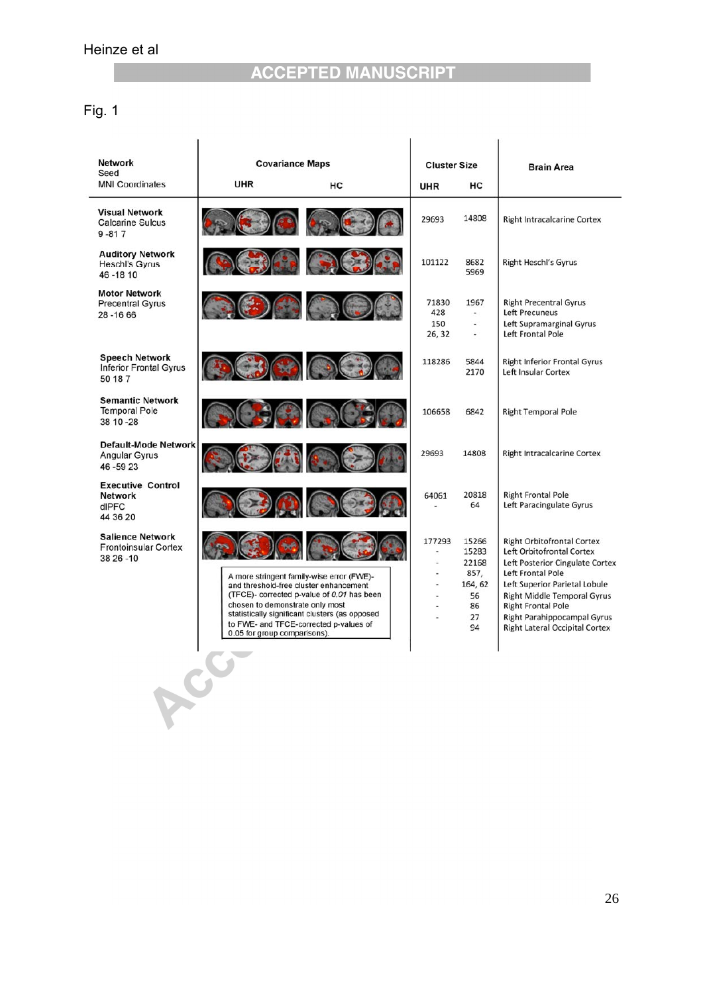# Fig. 1

| <b>Network</b><br>Seed                                              | <b>Covariance Maps</b>                                          |                                                                                                                                                                                                                               | <b>Cluster Size</b>           |                                                                    | <b>Brain Area</b>                                                                                                                                                                                                                                                                                  |  |
|---------------------------------------------------------------------|-----------------------------------------------------------------|-------------------------------------------------------------------------------------------------------------------------------------------------------------------------------------------------------------------------------|-------------------------------|--------------------------------------------------------------------|----------------------------------------------------------------------------------------------------------------------------------------------------------------------------------------------------------------------------------------------------------------------------------------------------|--|
| <b>MNI Coordinates</b>                                              | <b>UHR</b>                                                      | HC                                                                                                                                                                                                                            | UHR                           | HC                                                                 |                                                                                                                                                                                                                                                                                                    |  |
| <b>Visual Network</b><br><b>Calcarine Sulcus</b><br>$9 - 817$       |                                                                 |                                                                                                                                                                                                                               | 29693                         | 14808                                                              | <b>Right Intracalcarine Cortex</b>                                                                                                                                                                                                                                                                 |  |
| <b>Auditory Network</b><br><b>Heschl's Gyrus</b><br>46 - 18 10      |                                                                 |                                                                                                                                                                                                                               | 101122                        | 8682<br>5969                                                       | <b>Right Heschl's Gyrus</b>                                                                                                                                                                                                                                                                        |  |
| <b>Motor Network</b><br><b>Precentral Gyrus</b><br>28 - 16 66       | $\left(\frac{1}{2},\frac{1}{2}\right)$ (and )                   |                                                                                                                                                                                                                               | 71830<br>428<br>150<br>26, 32 | 1967<br>$\sim$<br>$\overline{\phantom{a}}$                         | <b>Right Precentral Gyrus</b><br><b>Left Precuneus</b><br>Left Supramarginal Gyrus<br>Left Frontal Pole                                                                                                                                                                                            |  |
| <b>Speech Network</b><br><b>Inferior Frontal Gyrus</b><br>50 18 7   |                                                                 |                                                                                                                                                                                                                               | 118286                        | 5844<br>2170                                                       | <b>Right Inferior Frontal Gyrus</b><br>Left Insular Cortex                                                                                                                                                                                                                                         |  |
| <b>Semantic Network</b><br><b>Temporal Pole</b><br>38 10 - 28       |                                                                 |                                                                                                                                                                                                                               | 106658                        | 6842                                                               | <b>Right Temporal Pole</b>                                                                                                                                                                                                                                                                         |  |
| <b>Default-Mode Network</b><br>Angular Gyrus<br>46-5923             |                                                                 |                                                                                                                                                                                                                               | 29693                         | 14808                                                              | <b>Right Intracalcarine Cortex</b>                                                                                                                                                                                                                                                                 |  |
| <b>Executive Control</b><br><b>Network</b><br>dlPFC<br>44 36 20     |                                                                 |                                                                                                                                                                                                                               | 64061                         | 20818<br>64                                                        | <b>Right Frontal Pole</b><br>Left Paracingulate Gyrus                                                                                                                                                                                                                                              |  |
| <b>Salience Network</b><br><b>Frontoinsular Cortex</b><br>38 26 -10 | chosen to demonstrate only most<br>0.05 for group comparisons). | A more stringent family-wise error (FWE)-<br>and threshold-free cluster enhancement<br>(TFCE)- corrected p-value of 0.01 has been<br>statistically significant clusters (as opposed<br>to FWE- and TFCE-corrected p-values of | 177293<br>٠                   | 15266<br>15283<br>22168<br>857,<br>164, 62<br>56<br>86<br>27<br>94 | <b>Right Orbitofrontal Cortex</b><br>Left Orbitofrontal Cortex<br>Left Posterior Cingulate Cortex<br>Left Frontal Pole<br>Left Superior Parietal Lobule<br><b>Right Middle Temporal Gyrus</b><br><b>Right Frontal Pole</b><br>Right Parahippocampal Gyrus<br><b>Right Lateral Occipital Cortex</b> |  |
|                                                                     |                                                                 |                                                                                                                                                                                                                               |                               |                                                                    |                                                                                                                                                                                                                                                                                                    |  |